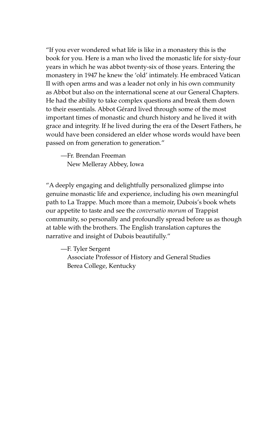"If you ever wondered what life is like in a monastery this is the book for you. Here is a man who lived the monastic life for sixty-four years in which he was abbot twenty-six of those years. Entering the monastery in 1947 he knew the 'old' intimately. He embraced Vatican II with open arms and was a leader not only in his own community as Abbot but also on the international scene at our General Chapters. He had the ability to take complex questions and break them down to their essentials. Abbot Gérard lived through some of the most important times of monastic and church history and he lived it with grace and integrity. If he lived during the era of the Desert Fathers, he would have been considered an elder whose words would have been passed on from generation to generation."

—Fr. Brendan Freeman New Melleray Abbey, Iowa

"A deeply engaging and delightfully personalized glimpse into genuine monastic life and experience, including his own meaningful path to La Trappe. Much more than a memoir, Dubois's book whets our appetite to taste and see the *conversatio morum* of Trappist community, so personally and profoundly spread before us as though at table with the brothers. The English translation captures the narrative and insight of Dubois beautifully."

—F. Tyler Sergent

Associate Professor of History and General Studies Berea College, Kentucky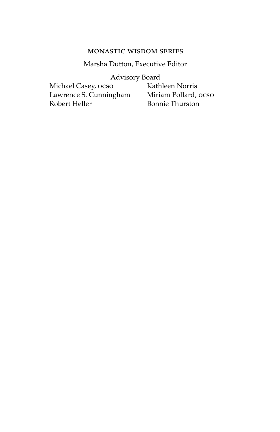#### monastic wisdom series

Marsha Dutton, Executive Editor

#### Advisory Board

Michael Casey, ocso Kathleen Norris Lawrence S. Cunningham Miriam Pollard, ocso

Bonnie Thurston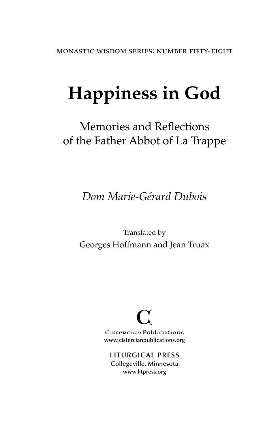# **Happiness in God**

## Memories and Reflections of the Father Abbot of La Trappe

*Dom Marie-Gérard Dubois*

Translated by Georges Hoffmann and Jean Truax

Cistercian Publications **www.cistercianpublications.org**

**LITURGICAL PRESS Collegeville, Minnesota www.litpress.org**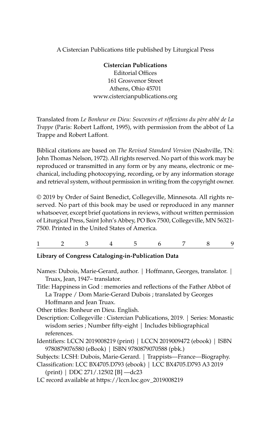#### A Cistercian Publications title published by Liturgical Press

**Cistercian Publications** Editorial Offices 161 Grosvenor Street Athens, Ohio 45701 www.cistercianpublications.org

Translated from *Le Bonheur en Dieu: Souvenirs et réflexions du père abbé de La Trappe* (Paris: Robert Laffont, 1995), with permission from the abbot of La Trappe and Robert Laffont.

Biblical citations are based on *The Revised Standard Version* (Nashville, TN: John Thomas Nelson, 1972). All rights reserved. No part of this work may be reproduced or transmitted in any form or by any means, electronic or mechanical, including photocopying, recording, or by any information storage and retrieval system, without permission in writing from the copyright owner.

© 2019 by Order of Saint Benedict, Collegeville, Minnesota. All rights reserved. No part of this book may be used or reproduced in any manner whatsoever, except brief quotations in reviews, without written permission of Liturgical Press, Saint John's Abbey, PO Box 7500, Collegeville, MN 56321- 7500. Printed in the United States of America.

|--|--|--|--|--|--|--|--|--|

#### **Library of Congress Cataloging-in-Publication Data**

Names: Dubois, Marie-Gerard, author. | Hoffmann, Georges, translator. | Truax, Jean, 1947– translator. Title: Happiness in God : memories and reflections of the Father Abbot of La Trappe / Dom Marie-Gerard Dubois ; translated by Georges Hoffmann and Jean Truax. Other titles: Bonheur en Dieu. English. Description: Collegeville : Cistercian Publications, 2019. | Series: Monastic wisdom series ; Number fifty-eight | Includes bibliographical references. Identifiers: LCCN 2019008219 (print) | LCCN 2019009472 (ebook) | ISBN 9780879076580 (eBook) | ISBN 9780879070588 (pbk.) Subjects: LCSH: Dubois, Marie-Gerard. | Trappists—France—Biography. Classification: LCC BX4705.D793 (ebook) | LCC BX4705.D793 A3 2019 (print) | DDC 271/.12502 [B] —dc23 LC record available at https://lccn.loc.gov\_2019008219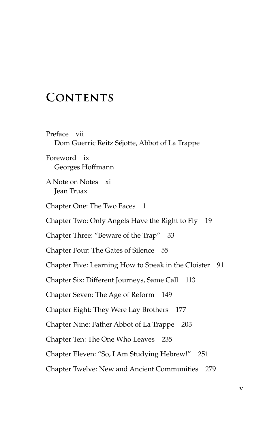### **Contents**

Preface vii Dom Guerric Reitz Séjotte, Abbot of La Trappe Foreword ix Georges Hoffmann A Note on Notes xi Jean Truax Chapter One: The Two Faces 1 Chapter Two: Only Angels Have the Right to Fly 19 Chapter Three: "Beware of the Trap" 33 Chapter Four: The Gates of Silence 55 Chapter Five: Learning How to Speak in the Cloister 91 Chapter Six: Different Journeys, Same Call 113 Chapter Seven: The Age of Reform 149 Chapter Eight: They Were Lay Brothers 177 Chapter Nine: Father Abbot of La Trappe 203 Chapter Ten: The One Who Leaves 235 Chapter Eleven: "So, I Am Studying Hebrew!" 251 Chapter Twelve: New and Ancient Communities 279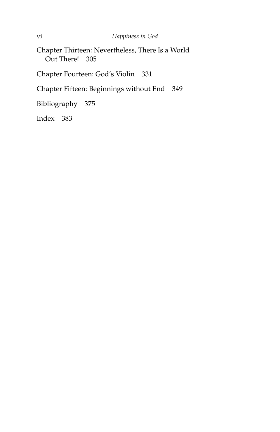Chapter Thirteen: Nevertheless, There Is a World Out There! 305

Chapter Fourteen: God's Violin 331

Chapter Fifteen: Beginnings without End 349

Bibliography 375

Index 383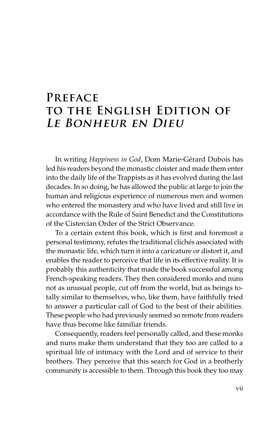### **Preface to the English Edition of Le Bonheur en Dieu**

In writing *Happiness in God*, Dom Marie-Gérard Dubois has led his readers beyond the monastic cloister and made them enter into the daily life of the Trappists as it has evolved during the last decades. In so doing, he has allowed the public at large to join the human and religious experience of numerous men and women who entered the monastery and who have lived and still live in accordance with the Rule of Saint Benedict and the Constitutions of the Cistercian Order of the Strict Observance.

To a certain extent this book, which is first and foremost a personal testimony, refutes the traditional clichés associated with the monastic life, which turn it into a caricature or distort it, and enables the reader to perceive that life in its effective reality. It is probably this authenticity that made the book successful among French-speaking readers. They then considered monks and nuns not as unusual people, cut off from the world, but as beings totally similar to themselves, who, like them, have faithfully tried to answer a particular call of God to the best of their abilities. These people who had previously seemed so remote from readers have thus become like familiar friends.

Consequently, readers feel personally called, and these monks and nuns make them understand that they too are called to a spiritual life of intimacy with the Lord and of service to their brothers. They perceive that this search for God in a brotherly community is accessible to them. Through this book they too may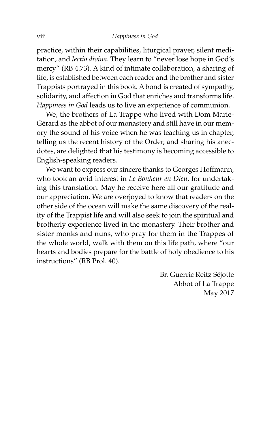practice, within their capabilities, liturgical prayer, silent meditation, and *lectio divina*. They learn to "never lose hope in God's mercy" (RB 4.73). A kind of intimate collaboration, a sharing of life, is established between each reader and the brother and sister Trappists portrayed in this book. A bond is created of sympathy, solidarity, and affection in God that enriches and transforms life. *Happiness in God* leads us to live an experience of communion.

We, the brothers of La Trappe who lived with Dom Marie-Gérard as the abbot of our monastery and still have in our memory the sound of his voice when he was teaching us in chapter, telling us the recent history of the Order, and sharing his anecdotes, are delighted that his testimony is becoming accessible to English-speaking readers.

We want to express our sincere thanks to Georges Hoffmann, who took an avid interest in *Le Bonheur en Dieu,* for undertaking this translation. May he receive here all our gratitude and our appreciation. We are overjoyed to know that readers on the other side of the ocean will make the same discovery of the reality of the Trappist life and will also seek to join the spiritual and brotherly experience lived in the monastery. Their brother and sister monks and nuns, who pray for them in the Trappes of the whole world, walk with them on this life path, where "our hearts and bodies prepare for the battle of holy obedience to his instructions" (RB Prol. 40).

> Br. Guerric Reitz Séjotte Abbot of La Trappe May 2017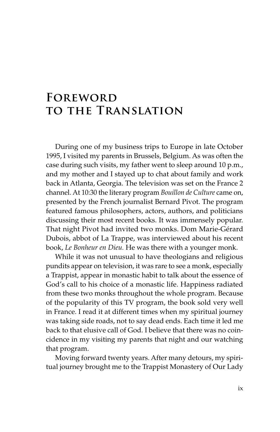### **Foreword to the Translation**

During one of my business trips to Europe in late October 1995, I visited my parents in Brussels, Belgium. As was often the case during such visits, my father went to sleep around 10 p.m., and my mother and I stayed up to chat about family and work back in Atlanta, Georgia. The television was set on the France 2 channel. At 10:30 the literary program *Bouillon de Culture* came on, presented by the French journalist Bernard Pivot. The program featured famous philosophers, actors, authors, and politicians discussing their most recent books. It was immensely popular. That night Pivot had invited two monks. Dom Marie-Gérard Dubois, abbot of La Trappe, was interviewed about his recent book, *Le Bonheur en Dieu.* He was there with a younger monk.

While it was not unusual to have theologians and religious pundits appear on television, it was rare to see a monk, especially a Trappist, appear in monastic habit to talk about the essence of God's call to his choice of a monastic life. Happiness radiated from these two monks throughout the whole program. Because of the popularity of this TV program, the book sold very well in France. I read it at different times when my spiritual journey was taking side roads, not to say dead ends. Each time it led me back to that elusive call of God. I believe that there was no coincidence in my visiting my parents that night and our watching that program.

Moving forward twenty years. After many detours, my spiritual journey brought me to the Trappist Monastery of Our Lady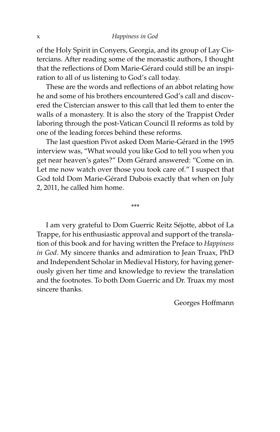of the Holy Spirit in Conyers, Georgia, and its group of Lay Cistercians. After reading some of the monastic authors, I thought that the reflections of Dom Marie-Gérard could still be an inspiration to all of us listening to God's call today.

These are the words and reflections of an abbot relating how he and some of his brothers encountered God's call and discovered the Cistercian answer to this call that led them to enter the walls of a monastery. It is also the story of the Trappist Order laboring through the post-Vatican Council II reforms as told by one of the leading forces behind these reforms.

The last question Pivot asked Dom Marie-Gérard in the 1995 interview was, "What would you like God to tell you when you get near heaven's gates?" Dom Gérard answered: "Come on in. Let me now watch over those you took care of." I suspect that God told Dom Marie-Gérard Dubois exactly that when on July 2, 2011, he called him home.

\*\*\*

I am very grateful to Dom Guerric Reitz Séjotte, abbot of La Trappe, for his enthusiastic approval and support of the translation of this book and for having written the Preface to *Happiness in God*. My sincere thanks and admiration to Jean Truax, PhD and Independent Scholar in Medieval History, for having generously given her time and knowledge to review the translation and the footnotes. To both Dom Guerric and Dr. Truax my most sincere thanks.

Georges Hoffmann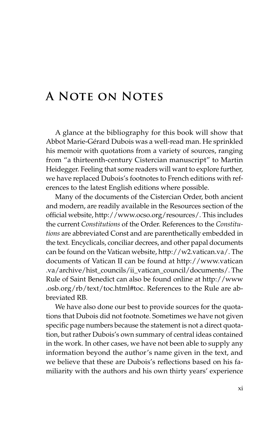### **A Note on Notes**

A glance at the bibliography for this book will show that Abbot Marie-Gérard Dubois was a well-read man. He sprinkled his memoir with quotations from a variety of sources, ranging from "a thirteenth-century Cistercian manuscript" to Martin Heidegger. Feeling that some readers will want to explore further, we have replaced Dubois's footnotes to French editions with references to the latest English editions where possible.

Many of the documents of the Cistercian Order, both ancient and modern, are readily available in the Resources section of the official website, http://www.ocso.org/resources/. This includes the current *Constitutions* of the Order. References to the *Constitutions* are abbreviated Const and are parenthetically embedded in the text. Encyclicals, conciliar decrees, and other papal documents can be found on the Vatican website, http://w2.vatican.va/. The documents of Vatican II can be found at http://www.vatican .va/archive/hist\_councils/ii\_vatican\_council/documents/. The Rule of Saint Benedict can also be found online at http://www .osb.org/rb/text/toc.html#toc. References to the Rule are abbreviated RB.

We have also done our best to provide sources for the quotations that Dubois did not footnote. Sometimes we have not given specific page numbers because the statement is not a direct quotation, but rather Dubois's own summary of central ideas contained in the work. In other cases, we have not been able to supply any information beyond the author's name given in the text, and we believe that these are Dubois's reflections based on his familiarity with the authors and his own thirty years' experience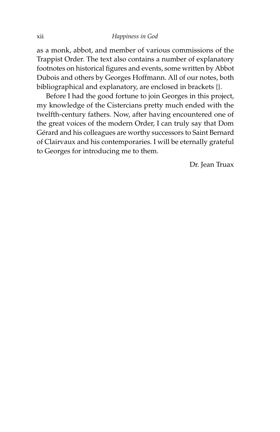as a monk, abbot, and member of various commissions of the Trappist Order. The text also contains a number of explanatory footnotes on historical figures and events, some written by Abbot Dubois and others by Georges Hoffmann. All of our notes, both bibliographical and explanatory, are enclosed in brackets {}.

Before I had the good fortune to join Georges in this project, my knowledge of the Cistercians pretty much ended with the twelfth-century fathers. Now, after having encountered one of the great voices of the modern Order, I can truly say that Dom Gérard and his colleagues are worthy successors to Saint Bernard of Clairvaux and his contemporaries. I will be eternally grateful to Georges for introducing me to them.

Dr. Jean Truax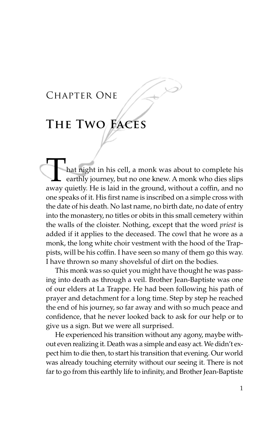#### Chapter One

### **The Two Faces**

hat night in his cell, a monk was about to complete his earthly journey, but no one knew. A monk who dies slips away quietly. He is laid in the ground, without a coffin, and no one speaks of it. His first name is inscribed on a simple cross with the date of his death. No last name, no birth date, no date of entry into the monastery, no titles or obits in this small cemetery within the walls of the cloister. Nothing, except that the word *priest* is added if it applies to the deceased. The cowl that he wore as a monk, the long white choir vestment with the hood of the Trappists, will be his coffin. I have seen so many of them go this way. I have thrown so many shovelsful of dirt on the bodies.

This monk was so quiet you might have thought he was passing into death as through a veil. Brother Jean-Baptiste was one of our elders at La Trappe. He had been following his path of prayer and detachment for a long time. Step by step he reached the end of his journey, so far away and with so much peace and confidence, that he never looked back to ask for our help or to give us a sign. But we were all surprised.

He experienced his transition without any agony, maybe without even realizing it. Death was a simple and easy act. We didn't expect him to die then, to start his transition that evening. Our world was already touching eternity without our seeing it. There is not far to go from this earthly life to infinity, and Brother Jean-Baptiste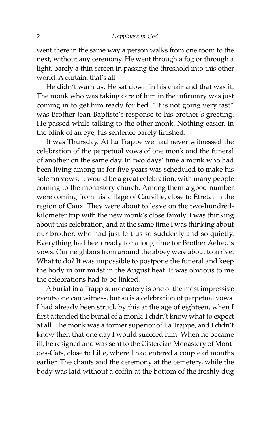went there in the same way a person walks from one room to the next, without any ceremony. He went through a fog or through a light, barely a thin screen in passing the threshold into this other world. A curtain, that's all.

He didn't warn us. He sat down in his chair and that was it. The monk who was taking care of him in the infirmary was just coming in to get him ready for bed. "It is not going very fast" was Brother Jean-Baptiste's response to his brother's greeting. He passed while talking to the other monk. Nothing easier, in the blink of an eye, his sentence barely finished.

It was Thursday. At La Trappe we had never witnessed the celebration of the perpetual vows of one monk and the funeral of another on the same day. In two days' time a monk who had been living among us for five years was scheduled to make his solemn vows. It would be a great celebration, with many people coming to the monastery church. Among them a good number were coming from his village of Cauville, close to Étretat in the region of Caux. They were about to leave on the two-hundredkilometer trip with the new monk's close family. I was thinking about this celebration, and at the same time I was thinking about our brother, who had just left us so suddenly and so quietly. Everything had been ready for a long time for Brother Aelred's vows. Our neighbors from around the abbey were about to arrive. What to do? It was impossible to postpone the funeral and keep the body in our midst in the August heat. It was obvious to me the celebrations had to be linked.

A burial in a Trappist monastery is one of the most impressive events one can witness, but so is a celebration of perpetual vows. I had already been struck by this at the age of eighteen, when I first attended the burial of a monk. I didn't know what to expect at all. The monk was a former superior of La Trappe, and I didn't know then that one day I would succeed him. When he became ill, he resigned and was sent to the Cistercian Monastery of Montdes-Cats, close to Lille, where I had entered a couple of months earlier. The chants and the ceremony at the cemetery, while the body was laid without a coffin at the bottom of the freshly dug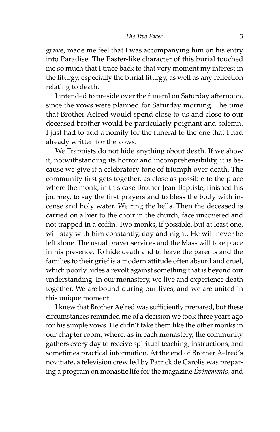#### *The Two Faces* 3

grave, made me feel that I was accompanying him on his entry into Paradise. The Easter-like character of this burial touched me so much that I trace back to that very moment my interest in the liturgy, especially the burial liturgy, as well as any reflection relating to death.

I intended to preside over the funeral on Saturday afternoon, since the vows were planned for Saturday morning. The time that Brother Aelred would spend close to us and close to our deceased brother would be particularly poignant and solemn. I just had to add a homily for the funeral to the one that I had already written for the vows.

We Trappists do not hide anything about death. If we show it, notwithstanding its horror and incomprehensibility, it is because we give it a celebratory tone of triumph over death. The community first gets together, as close as possible to the place where the monk, in this case Brother Jean-Baptiste, finished his journey, to say the first prayers and to bless the body with incense and holy water. We ring the bells. Then the deceased is carried on a bier to the choir in the church, face uncovered and not trapped in a coffin. Two monks, if possible, but at least one, will stay with him constantly, day and night. He will never be left alone. The usual prayer services and the Mass will take place in his presence. To hide death and to leave the parents and the families to their grief is a modern attitude often absurd and cruel, which poorly hides a revolt against something that is beyond our understanding. In our monastery, we live and experience death together. We are bound during our lives, and we are united in this unique moment.

I knew that Brother Aelred was sufficiently prepared, but these circumstances reminded me of a decision we took three years ago for his simple vows. He didn't take them like the other monks in our chapter room, where, as in each monastery, the community gathers every day to receive spiritual teaching, instructions, and sometimes practical information. At the end of Brother Aelred's novitiate, a television crew led by Patrick de Carolis was preparing a program on monastic life for the magazine *Événements*, and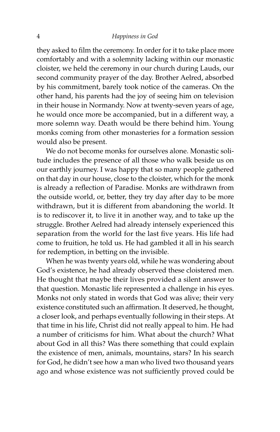#### 4 *Happiness in God*

they asked to film the ceremony. In order for it to take place more comfortably and with a solemnity lacking within our monastic cloister, we held the ceremony in our church during Lauds, our second community prayer of the day. Brother Aelred, absorbed by his commitment, barely took notice of the cameras. On the other hand, his parents had the joy of seeing him on television in their house in Normandy. Now at twenty-seven years of age, he would once more be accompanied, but in a different way, a more solemn way. Death would be there behind him. Young monks coming from other monasteries for a formation session would also be present.

We do not become monks for ourselves alone. Monastic solitude includes the presence of all those who walk beside us on our earthly journey. I was happy that so many people gathered on that day in our house, close to the cloister, which for the monk is already a reflection of Paradise. Monks are withdrawn from the outside world, or, better, they try day after day to be more withdrawn, but it is different from abandoning the world. It is to rediscover it, to live it in another way, and to take up the struggle. Brother Aelred had already intensely experienced this separation from the world for the last five years. His life had come to fruition, he told us. He had gambled it all in his search for redemption, in betting on the invisible.

When he was twenty years old, while he was wondering about God's existence, he had already observed these cloistered men. He thought that maybe their lives provided a silent answer to that question. Monastic life represented a challenge in his eyes. Monks not only stated in words that God was alive; their very existence constituted such an affirmation. It deserved, he thought, a closer look, and perhaps eventually following in their steps. At that time in his life, Christ did not really appeal to him. He had a number of criticisms for him. What about the church? What about God in all this? Was there something that could explain the existence of men, animals, mountains, stars? In his search for God, he didn't see how a man who lived two thousand years ago and whose existence was not sufficiently proved could be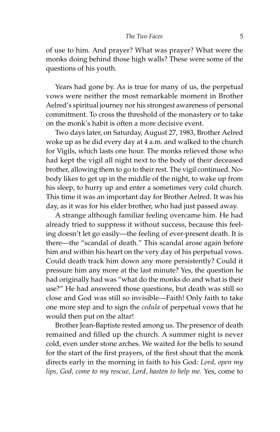of use to him. And prayer? What was prayer? What were the monks doing behind those high walls? These were some of the questions of his youth.

Years had gone by. As is true for many of us, the perpetual vows were neither the most remarkable moment in Brother Aelred's spiritual journey nor his strongest awareness of personal commitment. To cross the threshold of the monastery or to take on the monk's habit is often a more decisive event.

Two days later, on Saturday, August 27, 1983, Brother Aelred woke up as he did every day at 4 a.m. and walked to the church for Vigils, which lasts one hour. The monks relieved those who had kept the vigil all night next to the body of their deceased brother, allowing them to go to their rest. The vigil continued. Nobody likes to get up in the middle of the night, to wake up from his sleep, to hurry up and enter a sometimes very cold church. This time it was an important day for Brother Aelred. It was his day, as it was for his elder brother, who had just passed away.

A strange although familiar feeling overcame him. He had already tried to suppress it without success, because this feeling doesn't let go easily—the feeling of ever-present death. It is there—the "scandal of death." This scandal arose again before him and within his heart on the very day of his perpetual vows. Could death track him down any more persistently? Could it pressure him any more at the last minute? Yes, the question he had originally had was "what do the monks do and what is their use?" He had answered those questions, but death was still so close and God was still so invisible—Faith! Only faith to take one more step and to sign the *cedula* of perpetual vows that he would then put on the altar!

Brother Jean-Baptiste rested among us. The presence of death remained and filled up the church. A summer night is never cold, even under stone arches. We waited for the bells to sound for the start of the first prayers, of the first shout that the monk directs early in the morning in faith to his God*: Lord, open my lips, God, come to my rescue, Lord, hasten to help me.* Yes, come to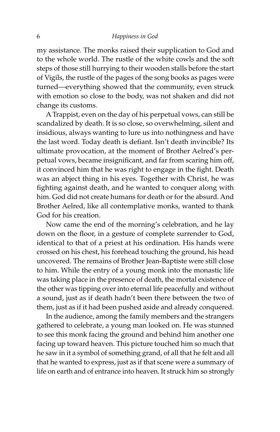#### 6 *Happiness in God*

my assistance. The monks raised their supplication to God and to the whole world. The rustle of the white cowls and the soft steps of those still hurrying to their wooden stalls before the start of Vigils, the rustle of the pages of the song books as pages were turned—everything showed that the community, even struck with emotion so close to the body, was not shaken and did not change its customs.

A Trappist, even on the day of his perpetual vows, can still be scandalized by death. It is so close, so overwhelming, silent and insidious, always wanting to lure us into nothingness and have the last word. Today death is defiant. Isn't death invincible? Its ultimate provocation, at the moment of Brother Aelred's perpetual vows, became insignificant, and far from scaring him off, it convinced him that he was right to engage in the fight. Death was an abject thing in his eyes. Together with Christ, he was fighting against death, and he wanted to conquer along with him. God did not create humans for death or for the absurd. And Brother Aelred, like all contemplative monks, wanted to thank God for his creation.

Now came the end of the morning's celebration, and he lay down on the floor, in a gesture of complete surrender to God, identical to that of a priest at his ordination. His hands were crossed on his chest, his forehead touching the ground, his head uncovered. The remains of Brother Jean-Baptiste were still close to him. While the entry of a young monk into the monastic life was taking place in the presence of death, the mortal existence of the other was tipping over into eternal life peacefully and without a sound, just as if death hadn't been there between the two of them, just as if it had been pushed aside and already conquered.

In the audience, among the family members and the strangers gathered to celebrate, a young man looked on. He was stunned to see this monk facing the ground and behind him another one facing up toward heaven. This picture touched him so much that he saw in it a symbol of something grand, of all that he felt and all that he wanted to express, just as if that scene were a summary of life on earth and of entrance into heaven. It struck him so strongly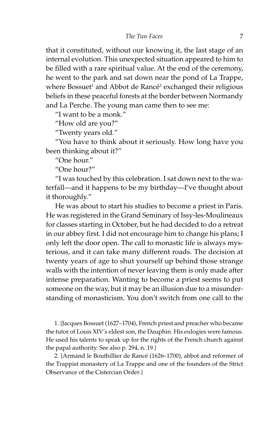that it constituted, without our knowing it, the last stage of an internal evolution. This unexpected situation appeared to him to be filled with a rare spiritual value. At the end of the ceremony, he went to the park and sat down near the pond of La Trappe, where Bossuet<sup>1</sup> and Abbot de Rancé<sup>2</sup> exchanged their religious beliefs in these peaceful forests at the border between Normandy and La Perche. The young man came then to see me:

"I want to be a monk."

"How old are you?"

"Twenty years old."

"You have to think about it seriously. How long have you been thinking about it?"

"One hour."

"One hour?"

"I was touched by this celebration. I sat down next to the waterfall—and it happens to be my birthday—I've thought about it thoroughly."

He was about to start his studies to become a priest in Paris. He was registered in the Grand Seminary of Issy-les-Moulineaux for classes starting in October, but he had decided to do a retreat in our abbey first. I did not encourage him to change his plans; I only left the door open. The call to monastic life is always mysterious, and it can take many different roads. The decision at twenty years of age to shut yourself up behind those strange walls with the intention of never leaving them is only made after intense preparation. Wanting to become a priest seems to put someone on the way, but it may be an illusion due to a misunderstanding of monasticism. You don't switch from one call to the

1. {Jacques Bossuet (1627–1704), French priest and preacher who became the tutor of Louis XIV's eldest son, the Dauphin. His eulogies were famous. He used his talents to speak up for the rights of the French church against the papal authority. See also p. 294, n. 19.}

2. {Armand le Bouthillier de Rancé (1626–1700), abbot and reformer of the Trappist monastery of La Trappe and one of the founders of the Strict Observance of the Cistercian Order.}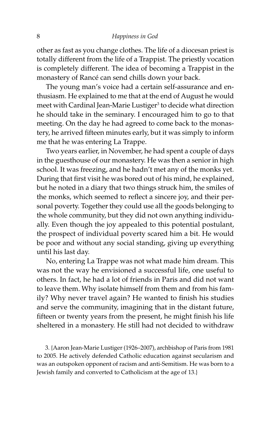other as fast as you change clothes. The life of a diocesan priest is totally different from the life of a Trappist. The priestly vocation is completely different. The idea of becoming a Trappist in the monastery of Rancé can send chills down your back.

The young man's voice had a certain self-assurance and enthusiasm. He explained to me that at the end of August he would meet with Cardinal Jean-Marie Lustiger<sup>3</sup> to decide what direction he should take in the seminary. I encouraged him to go to that meeting. On the day he had agreed to come back to the monastery, he arrived fifteen minutes early, but it was simply to inform me that he was entering La Trappe.

Two years earlier, in November, he had spent a couple of days in the guesthouse of our monastery. He was then a senior in high school. It was freezing, and he hadn't met any of the monks yet. During that first visit he was bored out of his mind, he explained, but he noted in a diary that two things struck him, the smiles of the monks, which seemed to reflect a sincere joy, and their personal poverty. Together they could use all the goods belonging to the whole community, but they did not own anything individually. Even though the joy appealed to this potential postulant, the prospect of individual poverty scared him a bit. He would be poor and without any social standing, giving up everything until his last day.

No, entering La Trappe was not what made him dream. This was not the way he envisioned a successful life, one useful to others. In fact, he had a lot of friends in Paris and did not want to leave them. Why isolate himself from them and from his family? Why never travel again? He wanted to finish his studies and serve the community, imagining that in the distant future, fifteen or twenty years from the present, he might finish his life sheltered in a monastery. He still had not decided to withdraw

3. {Aaron Jean-Marie Lustiger (1926–2007), archbishop of Paris from 1981 to 2005. He actively defended Catholic education against secularism and was an outspoken opponent of racism and anti-Semitism. He was born to a Jewish family and converted to Catholicism at the age of 13.}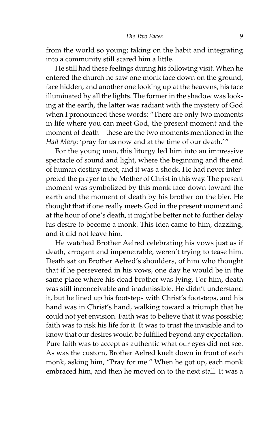from the world so young; taking on the habit and integrating into a community still scared him a little.

He still had these feelings during his following visit. When he entered the church he saw one monk face down on the ground, face hidden, and another one looking up at the heavens, his face illuminated by all the lights. The former in the shadow was looking at the earth, the latter was radiant with the mystery of God when I pronounced these words: "There are only two moments in life where you can meet God, the present moment and the moment of death—these are the two moments mentioned in the *Hail Mary*: 'pray for us now and at the time of our death.'"

For the young man, this liturgy led him into an impressive spectacle of sound and light, where the beginning and the end of human destiny meet, and it was a shock. He had never interpreted the prayer to the Mother of Christ in this way. The present moment was symbolized by this monk face down toward the earth and the moment of death by his brother on the bier. He thought that if one really meets God in the present moment and at the hour of one's death, it might be better not to further delay his desire to become a monk. This idea came to him, dazzling, and it did not leave him.

He watched Brother Aelred celebrating his vows just as if death, arrogant and impenetrable, weren't trying to tease him. Death sat on Brother Aelred's shoulders, of him who thought that if he persevered in his vows, one day he would be in the same place where his dead brother was lying. For him, death was still inconceivable and inadmissible. He didn't understand it, but he lined up his footsteps with Christ's footsteps, and his hand was in Christ's hand, walking toward a triumph that he could not yet envision. Faith was to believe that it was possible; faith was to risk his life for it. It was to trust the invisible and to know that our desires would be fulfilled beyond any expectation. Pure faith was to accept as authentic what our eyes did not see. As was the custom, Brother Aelred knelt down in front of each monk, asking him, "Pray for me." When he got up, each monk embraced him, and then he moved on to the next stall. It was a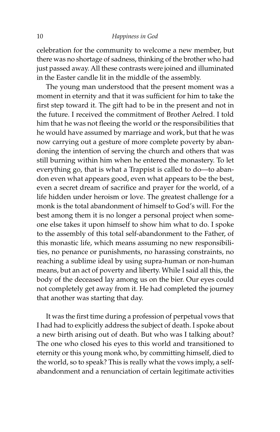celebration for the community to welcome a new member, but there was no shortage of sadness, thinking of the brother who had just passed away. All these contrasts were joined and illuminated in the Easter candle lit in the middle of the assembly.

The young man understood that the present moment was a moment in eternity and that it was sufficient for him to take the first step toward it. The gift had to be in the present and not in the future. I received the commitment of Brother Aelred. I told him that he was not fleeing the world or the responsibilities that he would have assumed by marriage and work, but that he was now carrying out a gesture of more complete poverty by abandoning the intention of serving the church and others that was still burning within him when he entered the monastery. To let everything go, that is what a Trappist is called to do—to abandon even what appears good, even what appears to be the best, even a secret dream of sacrifice and prayer for the world, of a life hidden under heroism or love. The greatest challenge for a monk is the total abandonment of himself to God's will. For the best among them it is no longer a personal project when someone else takes it upon himself to show him what to do. I spoke to the assembly of this total self-abandonment to the Father, of this monastic life, which means assuming no new responsibilities, no penance or punishments, no harassing constraints, no reaching a sublime ideal by using supra-human or non-human means, but an act of poverty and liberty. While I said all this, the body of the deceased lay among us on the bier. Our eyes could not completely get away from it. He had completed the journey that another was starting that day.

It was the first time during a profession of perpetual vows that I had had to explicitly address the subject of death. I spoke about a new birth arising out of death. But who was I talking about? The one who closed his eyes to this world and transitioned to eternity or this young monk who, by committing himself, died to the world, so to speak? This is really what the vows imply, a selfabandonment and a renunciation of certain legitimate activities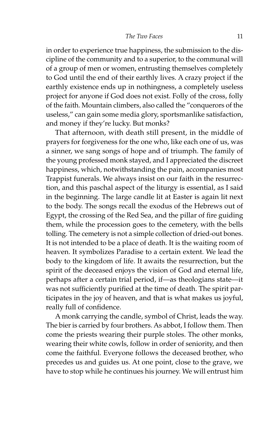in order to experience true happiness, the submission to the discipline of the community and to a superior, to the communal will of a group of men or women, entrusting themselves completely to God until the end of their earthly lives. A crazy project if the earthly existence ends up in nothingness, a completely useless project for anyone if God does not exist. Folly of the cross, folly of the faith. Mountain climbers, also called the "conquerors of the useless," can gain some media glory, sportsmanlike satisfaction, and money if they're lucky. But monks?

That afternoon, with death still present, in the middle of prayers for forgiveness for the one who, like each one of us, was a sinner, we sang songs of hope and of triumph. The family of the young professed monk stayed, and I appreciated the discreet happiness, which, notwithstanding the pain, accompanies most Trappist funerals. We always insist on our faith in the resurrection, and this paschal aspect of the liturgy is essential, as I said in the beginning. The large candle lit at Easter is again lit next to the body. The songs recall the exodus of the Hebrews out of Egypt, the crossing of the Red Sea, and the pillar of fire guiding them, while the procession goes to the cemetery, with the bells tolling. The cemetery is not a simple collection of dried-out bones. It is not intended to be a place of death. It is the waiting room of heaven. It symbolizes Paradise to a certain extent. We lead the body to the kingdom of life. It awaits the resurrection, but the spirit of the deceased enjoys the vision of God and eternal life, perhaps after a certain trial period, if—as theologians state—it was not sufficiently purified at the time of death. The spirit participates in the joy of heaven, and that is what makes us joyful, really full of confidence.

A monk carrying the candle, symbol of Christ, leads the way. The bier is carried by four brothers. As abbot, I follow them. Then come the priests wearing their purple stoles. The other monks, wearing their white cowls, follow in order of seniority, and then come the faithful. Everyone follows the deceased brother, who precedes us and guides us. At one point, close to the grave, we have to stop while he continues his journey. We will entrust him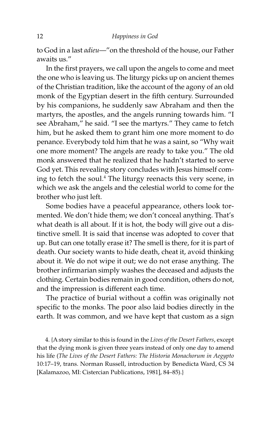to God in a last *adieu*—"on the threshold of the house, our Father awaits us."

In the first prayers, we call upon the angels to come and meet the one who is leaving us. The liturgy picks up on ancient themes of the Christian tradition, like the account of the agony of an old monk of the Egyptian desert in the fifth century. Surrounded by his companions, he suddenly saw Abraham and then the martyrs, the apostles, and the angels running towards him. "I see Abraham," he said. "I see the martyrs." They came to fetch him, but he asked them to grant him one more moment to do penance. Everybody told him that he was a saint, so "Why wait one more moment? The angels are ready to take you." The old monk answered that he realized that he hadn't started to serve God yet. This revealing story concludes with Jesus himself coming to fetch the soul.<sup>4</sup> The liturgy reenacts this very scene, in which we ask the angels and the celestial world to come for the brother who just left.

Some bodies have a peaceful appearance, others look tormented. We don't hide them; we don't conceal anything. That's what death is all about. If it is hot, the body will give out a distinctive smell. It is said that incense was adopted to cover that up. But can one totally erase it? The smell is there, for it is part of death. Our society wants to hide death, cheat it, avoid thinking about it. We do not wipe it out; we do not erase anything. The brother infirmarian simply washes the deceased and adjusts the clothing. Certain bodies remain in good condition, others do not, and the impression is different each time.

The practice of burial without a coffin was originally not specific to the monks. The poor also laid bodies directly in the earth. It was common, and we have kept that custom as a sign

4. {A story similar to this is found in the *Lives of the Desert Fathers*, except that the dying monk is given three years instead of only one day to amend his life (*The Lives of the Desert Fathers: The Historia Monachorum in Aegypto*  10:17–19, trans. Norman Russell, introduction by Benedicta Ward, CS 34 [Kalamazoo, MI: Cistercian Publications, 1981], 84–85).}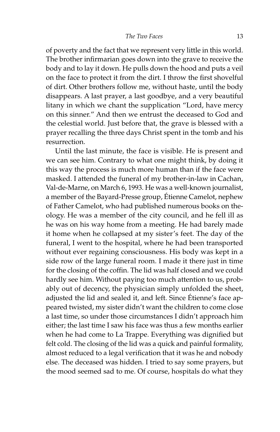of poverty and the fact that we represent very little in this world. The brother infirmarian goes down into the grave to receive the body and to lay it down. He pulls down the hood and puts a veil on the face to protect it from the dirt. I throw the first shovelful of dirt. Other brothers follow me, without haste, until the body disappears. A last prayer, a last goodbye, and a very beautiful litany in which we chant the supplication "Lord, have mercy on this sinner." And then we entrust the deceased to God and the celestial world. Just before that, the grave is blessed with a prayer recalling the three days Christ spent in the tomb and his resurrection.

Until the last minute, the face is visible. He is present and we can see him. Contrary to what one might think, by doing it this way the process is much more human than if the face were masked. I attended the funeral of my brother-in-law in Cachan, Val-de-Marne, on March 6, 1993. He was a well-known journalist, a member of the Bayard-Presse group, Étienne Camelot, nephew of Father Camelot, who had published numerous books on theology. He was a member of the city council, and he fell ill as he was on his way home from a meeting. He had barely made it home when he collapsed at my sister's feet. The day of the funeral, I went to the hospital, where he had been transported without ever regaining consciousness. His body was kept in a side row of the large funeral room. I made it there just in time for the closing of the coffin. The lid was half closed and we could hardly see him. Without paying too much attention to us, probably out of decency, the physician simply unfolded the sheet, adjusted the lid and sealed it, and left. Since Étienne's face appeared twisted, my sister didn't want the children to come close a last time, so under those circumstances I didn't approach him either; the last time I saw his face was thus a few months earlier when he had come to La Trappe. Everything was dignified but felt cold. The closing of the lid was a quick and painful formality, almost reduced to a legal verification that it was he and nobody else. The deceased was hidden. I tried to say some prayers, but the mood seemed sad to me. Of course, hospitals do what they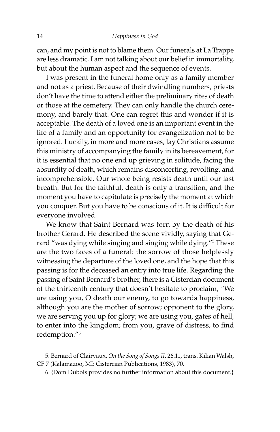can, and my point is not to blame them. Our funerals at La Trappe are less dramatic. I am not talking about our belief in immortality, but about the human aspect and the sequence of events.

I was present in the funeral home only as a family member and not as a priest. Because of their dwindling numbers, priests don't have the time to attend either the preliminary rites of death or those at the cemetery. They can only handle the church ceremony, and barely that. One can regret this and wonder if it is acceptable. The death of a loved one is an important event in the life of a family and an opportunity for evangelization not to be ignored. Luckily, in more and more cases, lay Christians assume this ministry of accompanying the family in its bereavement, for it is essential that no one end up grieving in solitude, facing the absurdity of death, which remains disconcerting, revolting, and incomprehensible. Our whole being resists death until our last breath. But for the faithful, death is only a transition, and the moment you have to capitulate is precisely the moment at which you conquer. But you have to be conscious of it. It is difficult for everyone involved.

We know that Saint Bernard was torn by the death of his brother Gerard. He described the scene vividly, saying that Gerard "was dying while singing and singing while dying."5 These are the two faces of a funeral: the sorrow of those helplessly witnessing the departure of the loved one, and the hope that this passing is for the deceased an entry into true life. Regarding the passing of Saint Bernard's brother, there is a Cistercian document of the thirteenth century that doesn't hesitate to proclaim, *"*We are using you, O death our enemy, to go towards happiness, although you are the mother of sorrow; opponent to the glory, we are serving you up for glory; we are using you, gates of hell, to enter into the kingdom; from you, grave of distress, to find redemption."6

6. {Dom Dubois provides no further information about this document.}

<sup>5.</sup> Bernard of Clairvaux, *On the Song of Songs II*, 26.11, trans. Kilian Walsh, CF 7 (Kalamazoo, MI: Cistercian Publications, 1983), 70.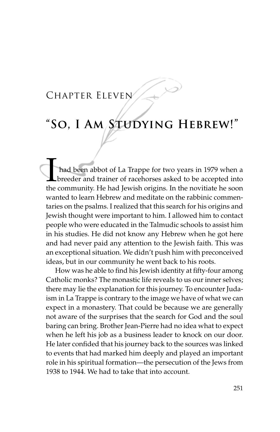### Chapter Eleven

## **"So, I Am Studying Hebrew!"**

had been abbot of La Trappe for two years in 1979 when a breeder and trainer of racehorses asked to be accepted into the community. He had Jewish origins. In the novitiate he soon wanted to learn Hebrew and meditate on the rabbinic commentaries on the psalms. I realized that this search for his origins and Jewish thought were important to him. I allowed him to contact people who were educated in the Talmudic schools to assist him in his studies. He did not know any Hebrew when he got here and had never paid any attention to the Jewish faith. This was an exceptional situation. We didn't push him with preconceived ideas, but in our community he went back to his roots.

How was he able to find his Jewish identity at fifty-four among Catholic monks? The monastic life reveals to us our inner selves; there may lie the explanation for this journey. To encounter Judaism in La Trappe is contrary to the image we have of what we can expect in a monastery. That could be because we are generally not aware of the surprises that the search for God and the soul baring can bring. Brother Jean-Pierre had no idea what to expect when he left his job as a business leader to knock on our door. He later confided that his journey back to the sources was linked to events that had marked him deeply and played an important role in his spiritual formation—the persecution of the Jews from 1938 to 1944. We had to take that into account.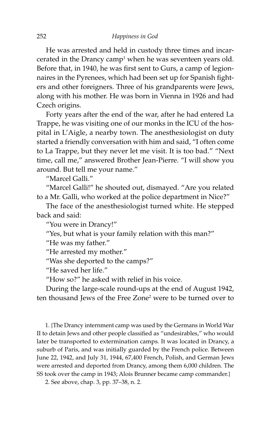He was arrested and held in custody three times and incarcerated in the Drancy camp<sup>1</sup> when he was seventeen years old. Before that, in 1940, he was first sent to Gurs, a camp of legionnaires in the Pyrenees, which had been set up for Spanish fighters and other foreigners. Three of his grandparents were Jews, along with his mother. He was born in Vienna in 1926 and had Czech origins.

Forty years after the end of the war, after he had entered La Trappe, he was visiting one of our monks in the ICU of the hospital in L'Aigle, a nearby town. The anesthesiologist on duty started a friendly conversation with him and said, "I often come to La Trappe, but they never let me visit. It is too bad." "Next time, call me," answered Brother Jean-Pierre. "I will show you around. But tell me your name."

"Marcel Galli."

"Marcel Galli!" he shouted out, dismayed. "Are you related to a Mr. Galli, who worked at the police department in Nice?"

The face of the anesthesiologist turned white. He stepped back and said:

"You were in Drancy!"

"Yes, but what is your family relation with this man?"

"He was my father."

"He arrested my mother."

"Was she deported to the camps?"

"He saved her life."

"How so?" he asked with relief in his voice.

During the large-scale round-ups at the end of August 1942, ten thousand Jews of the Free Zone<sup>2</sup> were to be turned over to

1. {The Drancy internment camp was used by the Germans in World War II to detain Jews and other people classified as "undesirables," who would later be transported to extermination camps. It was located in Drancy, a suburb of Paris, and was initially guarded by the French police. Between June 22, 1942, and July 31, 1944, 67,400 French, Polish, and German Jews were arrested and deported from Drancy, among them 6,000 children. The SS took over the camp in 1943; Alois Brunner became camp commander.}

2. See above, chap. 3, pp. 37–38, n. 2.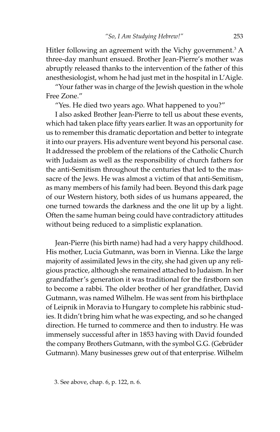Hitler following an agreement with the Vichy government.<sup>3</sup> A three-day manhunt ensued. Brother Jean-Pierre's mother was abruptly released thanks to the intervention of the father of this anesthesiologist, whom he had just met in the hospital in L'Aigle.

"Your father was in charge of the Jewish question in the whole Free Zone."

"Yes. He died two years ago. What happened to you?"

I also asked Brother Jean-Pierre to tell us about these events, which had taken place fifty years earlier. It was an opportunity for us to remember this dramatic deportation and better to integrate it into our prayers. His adventure went beyond his personal case. It addressed the problem of the relations of the Catholic Church with Judaism as well as the responsibility of church fathers for the anti-Semitism throughout the centuries that led to the massacre of the Jews. He was almost a victim of that anti-Semitism, as many members of his family had been. Beyond this dark page of our Western history, both sides of us humans appeared, the one turned towards the darkness and the one lit up by a light. Often the same human being could have contradictory attitudes without being reduced to a simplistic explanation.

Jean-Pierre (his birth name) had had a very happy childhood. His mother, Lucia Gutmann, was born in Vienna. Like the large majority of assimilated Jews in the city, she had given up any religious practice, although she remained attached to Judaism. In her grandfather's generation it was traditional for the firstborn son to become a rabbi. The older brother of her grandfather, David Gutmann, was named Wilhelm. He was sent from his birthplace of Leipnik in Moravia to Hungary to complete his rabbinic studies. It didn't bring him what he was expecting, and so he changed direction. He turned to commerce and then to industry. He was immensely successful after in 1853 having with David founded the company Brothers Gutmann, with the symbol G.G. (Gebrüder Gutmann). Many businesses grew out of that enterprise. Wilhelm

<sup>3.</sup> See above, chap. 6, p. 122, n. 6.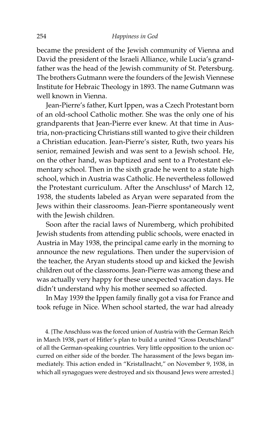became the president of the Jewish community of Vienna and David the president of the Israeli Alliance, while Lucia's grandfather was the head of the Jewish community of St. Petersburg. The brothers Gutmann were the founders of the Jewish Viennese Institute for Hebraic Theology in 1893. The name Gutmann was well known in Vienna.

Jean-Pierre's father, Kurt Ippen, was a Czech Protestant born of an old-school Catholic mother. She was the only one of his grandparents that Jean-Pierre ever knew. At that time in Austria, non-practicing Christians still wanted to give their children a Christian education. Jean-Pierre's sister, Ruth, two years his senior, remained Jewish and was sent to a Jewish school. He, on the other hand, was baptized and sent to a Protestant elementary school. Then in the sixth grade he went to a state high school, which in Austria was Catholic. He nevertheless followed the Protestant curriculum. After the Anschluss<sup>4</sup> of March 12, 1938, the students labeled as Aryan were separated from the Jews within their classrooms. Jean-Pierre spontaneously went with the Jewish children.

Soon after the racial laws of Nuremberg, which prohibited Jewish students from attending public schools, were enacted in Austria in May 1938, the principal came early in the morning to announce the new regulations. Then under the supervision of the teacher, the Aryan students stood up and kicked the Jewish children out of the classrooms. Jean-Pierre was among these and was actually very happy for these unexpected vacation days. He didn't understand why his mother seemed so affected.

In May 1939 the Ippen family finally got a visa for France and took refuge in Nice. When school started, the war had already

4. {The Anschluss was the forced union of Austria with the German Reich in March 1938, part of Hitler's plan to build a united "Gross Deutschland" of all the German-speaking countries. Very little opposition to the union occurred on either side of the border. The harassment of the Jews began immediately. This action ended in "Kristallnacht," on November 9, 1938, in which all synagogues were destroyed and six thousand Jews were arrested.}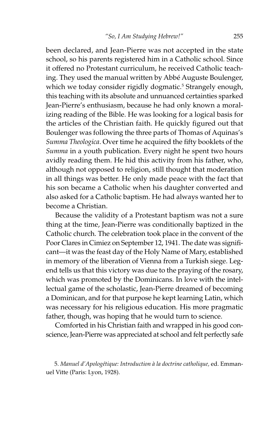been declared, and Jean-Pierre was not accepted in the state school, so his parents registered him in a Catholic school. Since it offered no Protestant curriculum, he received Catholic teaching. They used the manual written by Abbé Auguste Boulenger, which we today consider rigidly dogmatic.<sup>5</sup> Strangely enough, this teaching with its absolute and unnuanced certainties sparked Jean-Pierre's enthusiasm, because he had only known a moralizing reading of the Bible. He was looking for a logical basis for the articles of the Christian faith. He quickly figured out that Boulenger was following the three parts of Thomas of Aquinas's *Summa Theologica*. Over time he acquired the fifty booklets of the *Summa* in a youth publication. Every night he spent two hours avidly reading them. He hid this activity from his father, who, although not opposed to religion, still thought that moderation in all things was better. He only made peace with the fact that his son became a Catholic when his daughter converted and also asked for a Catholic baptism. He had always wanted her to become a Christian.

Because the validity of a Protestant baptism was not a sure thing at the time, Jean-Pierre was conditionally baptized in the Catholic church. The celebration took place in the convent of the Poor Clares in Cimiez on September 12, 1941. The date was significant—it was the feast day of the Holy Name of Mary, established in memory of the liberation of Vienna from a Turkish siege. Legend tells us that this victory was due to the praying of the rosary, which was promoted by the Dominicans. In love with the intellectual game of the scholastic, Jean-Pierre dreamed of becoming a Dominican, and for that purpose he kept learning Latin, which was necessary for his religious education. His more pragmatic father, though, was hoping that he would turn to science.

Comforted in his Christian faith and wrapped in his good conscience, Jean-Pierre was appreciated at school and felt perfectly safe

<sup>5.</sup> *Manuel d'Apologétique: Introduction à la doctrine catholique,* ed. Emmanuel Vitte (Paris: Lyon, 1928).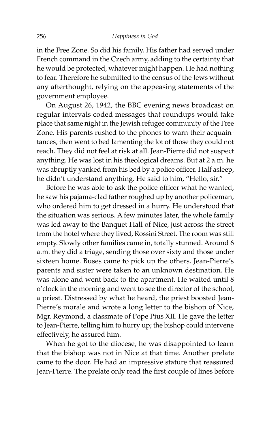in the Free Zone. So did his family. His father had served under French command in the Czech army, adding to the certainty that he would be protected, whatever might happen. He had nothing to fear. Therefore he submitted to the census of the Jews without any afterthought, relying on the appeasing statements of the government employee.

On August 26, 1942, the BBC evening news broadcast on regular intervals coded messages that roundups would take place that same night in the Jewish refugee community of the Free Zone. His parents rushed to the phones to warn their acquaintances, then went to bed lamenting the lot of those they could not reach. They did not feel at risk at all. Jean-Pierre did not suspect anything. He was lost in his theological dreams. But at 2 a.m. he was abruptly yanked from his bed by a police officer. Half asleep, he didn't understand anything. He said to him, "Hello, sir."

Before he was able to ask the police officer what he wanted, he saw his pajama-clad father roughed up by another policeman, who ordered him to get dressed in a hurry. He understood that the situation was serious. A few minutes later, the whole family was led away to the Banquet Hall of Nice, just across the street from the hotel where they lived, Rossini Street. The room was still empty. Slowly other families came in, totally stunned. Around 6 a.m. they did a triage, sending those over sixty and those under sixteen home. Buses came to pick up the others. Jean-Pierre's parents and sister were taken to an unknown destination. He was alone and went back to the apartment. He waited until 8 o'clock in the morning and went to see the director of the school, a priest. Distressed by what he heard, the priest boosted Jean-Pierre's morale and wrote a long letter to the bishop of Nice, Mgr. Reymond, a classmate of Pope Pius XII. He gave the letter to Jean-Pierre, telling him to hurry up; the bishop could intervene effectively, he assured him.

When he got to the diocese, he was disappointed to learn that the bishop was not in Nice at that time. Another prelate came to the door. He had an impressive stature that reassured Jean-Pierre. The prelate only read the first couple of lines before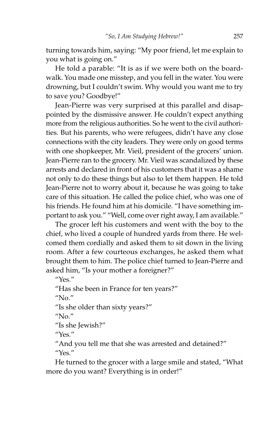turning towards him, saying: "My poor friend, let me explain to you what is going on."

He told a parable: "It is as if we were both on the boardwalk. You made one misstep, and you fell in the water. You were drowning, but I couldn't swim. Why would you want me to try to save you? Goodbye!"

Jean-Pierre was very surprised at this parallel and disappointed by the dismissive answer. He couldn't expect anything more from the religious authorities. So he went to the civil authorities. But his parents, who were refugees, didn't have any close connections with the city leaders. They were only on good terms with one shopkeeper, Mr. Vieil, president of the grocers' union. Jean-Pierre ran to the grocery. Mr. Vieil was scandalized by these arrests and declared in front of his customers that it was a shame not only to do these things but also to let them happen. He told Jean-Pierre not to worry about it, because he was going to take care of this situation. He called the police chief, who was one of his friends. He found him at his domicile. "I have something important to ask you." "Well, come over right away, I am available."

The grocer left his customers and went with the boy to the chief, who lived a couple of hundred yards from there. He welcomed them cordially and asked them to sit down in the living room. After a few courteous exchanges, he asked them what brought them to him. The police chief turned to Jean-Pierre and asked him, "Is your mother a foreigner?"

"Yes."

"Has she been in France for ten years?"

 $''$ No."

"Is she older than sixty years?"

 $''$ No."

"Is she Jewish?"

"Yes."

"And you tell me that she was arrested and detained?" "Yes."

He turned to the grocer with a large smile and stated, "What more do you want? Everything is in order!"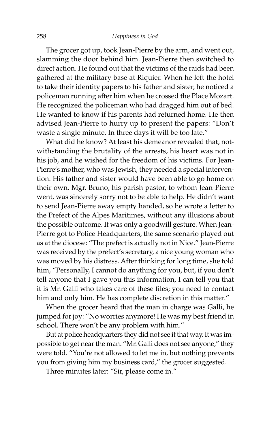#### 258 *Happiness in God*

The grocer got up, took Jean-Pierre by the arm, and went out, slamming the door behind him. Jean-Pierre then switched to direct action. He found out that the victims of the raids had been gathered at the military base at Riquier. When he left the hotel to take their identity papers to his father and sister, he noticed a policeman running after him when he crossed the Place Mozart. He recognized the policeman who had dragged him out of bed. He wanted to know if his parents had returned home. He then advised Jean-Pierre to hurry up to present the papers: "Don't waste a single minute. In three days it will be too late."

What did he know? At least his demeanor revealed that, notwithstanding the brutality of the arrests, his heart was not in his job, and he wished for the freedom of his victims. For Jean-Pierre's mother, who was Jewish, they needed a special intervention. His father and sister would have been able to go home on their own. Mgr. Bruno, his parish pastor, to whom Jean-Pierre went, was sincerely sorry not to be able to help. He didn't want to send Jean-Pierre away empty handed, so he wrote a letter to the Prefect of the Alpes Maritimes, without any illusions about the possible outcome. It was only a goodwill gesture. When Jean-Pierre got to Police Headquarters, the same scenario played out as at the diocese: "The prefect is actually not in Nice." Jean-Pierre was received by the prefect's secretary, a nice young woman who was moved by his distress. After thinking for long time, she told him, "Personally, I cannot do anything for you, but, if you don't tell anyone that I gave you this information, I can tell you that it is Mr. Galli who takes care of these files; you need to contact him and only him. He has complete discretion in this matter."

When the grocer heard that the man in charge was Galli, he jumped for joy: "No worries anymore! He was my best friend in school. There won't be any problem with him."

But at police headquarters they did not see it that way. It was impossible to get near the man. "Mr. Galli does not see anyone," they were told. "You're not allowed to let me in, but nothing prevents you from giving him my business card," the grocer suggested.

Three minutes later: "Sir, please come in."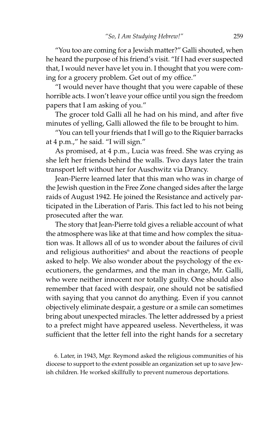"You too are coming for a Jewish matter?" Galli shouted, when he heard the purpose of his friend's visit. "If I had ever suspected that, I would never have let you in. I thought that you were coming for a grocery problem. Get out of my office."

"I would never have thought that you were capable of these horrible acts. I won't leave your office until you sign the freedom papers that I am asking of you."

The grocer told Galli all he had on his mind, and after five minutes of yelling, Galli allowed the file to be brought to him.

"You can tell your friends that I will go to the Riquier barracks at 4 p.m.," he said. "I will sign."

As promised, at 4 p.m., Lucia was freed. She was crying as she left her friends behind the walls. Two days later the train transport left without her for Auschwitz via Drancy.

Jean-Pierre learned later that this man who was in charge of the Jewish question in the Free Zone changed sides after the large raids of August 1942. He joined the Resistance and actively participated in the Liberation of Paris. This fact led to his not being prosecuted after the war.

The story that Jean-Pierre told gives a reliable account of what the atmosphere was like at that time and how complex the situation was. It allows all of us to wonder about the failures of civil and religious authorities<sup>6</sup> and about the reactions of people asked to help. We also wonder about the psychology of the executioners, the gendarmes, and the man in charge, Mr. Galli, who were neither innocent nor totally guilty. One should also remember that faced with despair, one should not be satisfied with saying that you cannot do anything. Even if you cannot objectively eliminate despair, a gesture or a smile can sometimes bring about unexpected miracles. The letter addressed by a priest to a prefect might have appeared useless. Nevertheless, it was sufficient that the letter fell into the right hands for a secretary

6. Later, in 1943, Mgr. Reymond asked the religious communities of his diocese to support to the extent possible an organization set up to save Jewish children. He worked skillfully to prevent numerous deportations.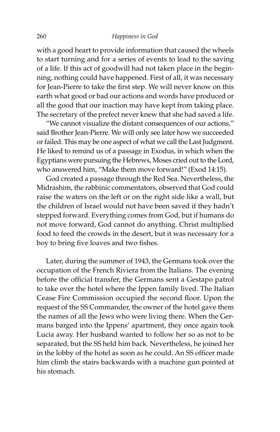with a good heart to provide information that caused the wheels to start turning and for a series of events to lead to the saving of a life. If this act of goodwill had not taken place in the beginning, nothing could have happened. First of all, it was necessary for Jean-Pierre to take the first step. We will never know on this earth what good or bad our actions and words have produced or all the good that our inaction may have kept from taking place. The secretary of the prefect never knew that she had saved a life.

"We cannot visualize the distant consequences of our actions," said Brother Jean-Pierre. We will only see later how we succeeded or failed. This may be one aspect of what we call the Last Judgment. He liked to remind us of a passage in Exodus, in which when the Egyptians were pursuing the Hebrews, Moses cried out to the Lord, who answered him, "Make them move forward!" (Exod 14:15).

God created a passage through the Red Sea. Nevertheless, the Midrashim, the rabbinic commentators, observed that God could raise the waters on the left or on the right side like a wall, but the children of Israel would not have been saved if they hadn't stepped forward. Everything comes from God, but if humans do not move forward, God cannot do anything. Christ multiplied food to feed the crowds in the desert, but it was necessary for a boy to bring five loaves and two fishes.

Later, during the summer of 1943, the Germans took over the occupation of the French Riviera from the Italians. The evening before the official transfer, the Germans sent a Gestapo patrol to take over the hotel where the Ippen family lived. The Italian Cease Fire Commission occupied the second floor. Upon the request of the SS Commander, the owner of the hotel gave them the names of all the Jews who were living there. When the Germans barged into the Ippens' apartment, they once again took Lucia away. Her husband wanted to follow her so as not to be separated, but the SS held him back. Nevertheless, he joined her in the lobby of the hotel as soon as he could. An SS officer made him climb the stairs backwards with a machine gun pointed at his stomach.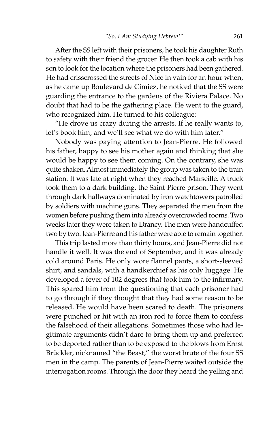After the SS left with their prisoners, he took his daughter Ruth to safety with their friend the grocer. He then took a cab with his son to look for the location where the prisoners had been gathered. He had crisscrossed the streets of Nice in vain for an hour when, as he came up Boulevard de Cimiez, he noticed that the SS were guarding the entrance to the gardens of the Riviera Palace. No doubt that had to be the gathering place. He went to the guard, who recognized him. He turned to his colleague:

"He drove us crazy during the arrests. If he really wants to, let's book him, and we'll see what we do with him later."

Nobody was paying attention to Jean-Pierre. He followed his father, happy to see his mother again and thinking that she would be happy to see them coming. On the contrary, she was quite shaken. Almost immediately the group was taken to the train station. It was late at night when they reached Marseille. A truck took them to a dark building, the Saint-Pierre prison. They went through dark hallways dominated by iron watchtowers patrolled by soldiers with machine guns. They separated the men from the women before pushing them into already overcrowded rooms. Two weeks later they were taken to Drancy. The men were handcuffed two by two. Jean-Pierre and his father were able to remain together.

This trip lasted more than thirty hours, and Jean-Pierre did not handle it well. It was the end of September, and it was already cold around Paris. He only wore flannel pants, a short-sleeved shirt, and sandals, with a handkerchief as his only luggage. He developed a fever of 102 degrees that took him to the infirmary. This spared him from the questioning that each prisoner had to go through if they thought that they had some reason to be released. He would have been scared to death. The prisoners were punched or hit with an iron rod to force them to confess the falsehood of their allegations. Sometimes those who had legitimate arguments didn't dare to bring them up and preferred to be deported rather than to be exposed to the blows from Ernst Brückler, nicknamed "the Beast," the worst brute of the four SS men in the camp. The parents of Jean-Pierre waited outside the interrogation rooms. Through the door they heard the yelling and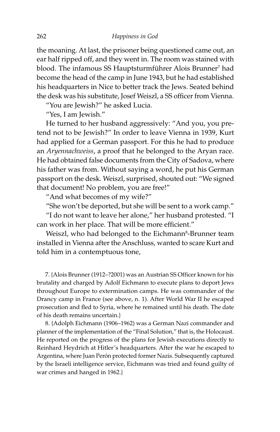the moaning. At last, the prisoner being questioned came out, an ear half ripped off, and they went in. The room was stained with blood. The infamous SS Hauptsturmführer Alois Brunner<sup>7</sup> had become the head of the camp in June 1943, but he had established his headquarters in Nice to better track the Jews. Seated behind the desk was his substitute, Josef Weiszl, a SS officer from Vienna.

"You are Jewish?" he asked Lucia.

"Yes, I am Jewish."

He turned to her husband aggressively: "And you, you pretend not to be Jewish?" In order to leave Vienna in 1939, Kurt had applied for a German passport. For this he had to produce an *Aryennachweiss*, a proof that he belonged to the Aryan race. He had obtained false documents from the City of Sadova, where his father was from. Without saying a word, he put his German passport on the desk. Weiszl, surprised, shouted out: "We signed that document! No problem, you are free!"

"And what becomes of my wife?"

"She won't be deported, but she will be sent to a work camp."

"I do not want to leave her alone," her husband protested. "I can work in her place. That will be more efficient."

Weiszl, who had belonged to the Eichmann<sup>8</sup>-Brunner team installed in Vienna after the Anschluss, wanted to scare Kurt and told him in a contemptuous tone,

7. {Alois Brunner (1912–?2001) was an Austrian SS Officer known for his brutality and charged by Adolf Eichmann to execute plans to deport Jews throughout Europe to extermination camps. He was commander of the Drancy camp in France (see above, n. 1). After World War II he escaped prosecution and fled to Syria, where he remained until his death. The date of his death remains uncertain.}

8. {Adolph Eichmann (1906–1962) was a German Nazi commander and planner of the implementation of the "Final Solution," that is, the Holocaust. He reported on the progress of the plans for Jewish executions directly to Reinhard Heydrich at Hitler's headquarters. After the war he escaped to Argentina, where Juan Perón protected former Nazis. Subsequently captured by the Israeli intelligence service, Eichmann was tried and found guilty of war crimes and hanged in 1962.}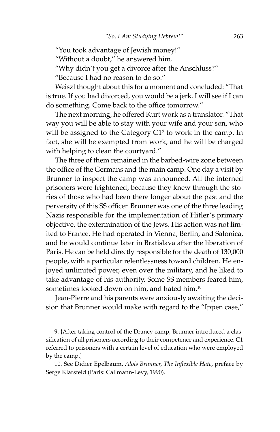"You took advantage of Jewish money!"

"Without a doubt," he answered him.

"Why didn't you get a divorce after the Anschluss?"

"Because I had no reason to do so."

Weiszl thought about this for a moment and concluded: "That is true. If you had divorced, you would be a jerk. I will see if I can do something. Come back to the office tomorrow."

The next morning, he offered Kurt work as a translator. "That way you will be able to stay with your wife and your son, who will be assigned to the Category  $C1<sup>9</sup>$  to work in the camp. In fact, she will be exempted from work, and he will be charged with helping to clean the courtyard."

The three of them remained in the barbed-wire zone between the office of the Germans and the main camp. One day a visit by Brunner to inspect the camp was announced. All the interned prisoners were frightened, because they knew through the stories of those who had been there longer about the past and the perversity of this SS officer. Brunner was one of the three leading Nazis responsible for the implementation of Hitler's primary objective, the extermination of the Jews. His action was not limited to France. He had operated in Vienna, Berlin, and Salonica, and he would continue later in Bratislava after the liberation of Paris. He can be held directly responsible for the death of 130,000 people, with a particular relentlessness toward children. He enjoyed unlimited power, even over the military, and he liked to take advantage of his authority. Some SS members feared him, sometimes looked down on him, and hated him.<sup>10</sup>

Jean-Pierre and his parents were anxiously awaiting the decision that Brunner would make with regard to the "Ippen case,"

9. {After taking control of the Drancy camp, Brunner introduced a classification of all prisoners according to their competence and experience. C1 referred to prisoners with a certain level of education who were employed by the camp.}

10. See Didier Epelbaum, *Alois Brunner, The Inflexible Hate*, preface by Serge Klarsfeld (Paris: Callmann-Levy, 1990).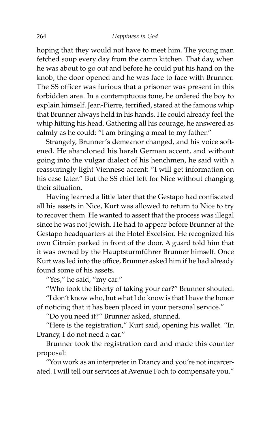hoping that they would not have to meet him. The young man fetched soup every day from the camp kitchen. That day, when he was about to go out and before he could put his hand on the knob, the door opened and he was face to face with Brunner. The SS officer was furious that a prisoner was present in this forbidden area. In a contemptuous tone, he ordered the boy to explain himself. Jean-Pierre, terrified, stared at the famous whip that Brunner always held in his hands. He could already feel the whip hitting his head. Gathering all his courage, he answered as calmly as he could: "I am bringing a meal to my father."

Strangely, Brunner's demeanor changed, and his voice softened. He abandoned his harsh German accent, and without going into the vulgar dialect of his henchmen, he said with a reassuringly light Viennese accent: "I will get information on his case later." But the SS chief left for Nice without changing their situation.

Having learned a little later that the Gestapo had confiscated all his assets in Nice, Kurt was allowed to return to Nice to try to recover them. He wanted to assert that the process was illegal since he was not Jewish. He had to appear before Brunner at the Gestapo headquarters at the Hotel Excelsior. He recognized his own Citroën parked in front of the door. A guard told him that it was owned by the Hauptsturmführer Brunner himself. Once Kurt was led into the office, Brunner asked him if he had already found some of his assets.

"Yes," he said, "my car."

"Who took the liberty of taking your car?" Brunner shouted. "I don't know who, but what I do know is that I have the honor of noticing that it has been placed in your personal service."

"Do you need it?" Brunner asked, stunned.

"Here is the registration," Kurt said, opening his wallet. "In Drancy, I do not need a car."

Brunner took the registration card and made this counter proposal:

"You work as an interpreter in Drancy and you're not incarcerated. I will tell our services at Avenue Foch to compensate you."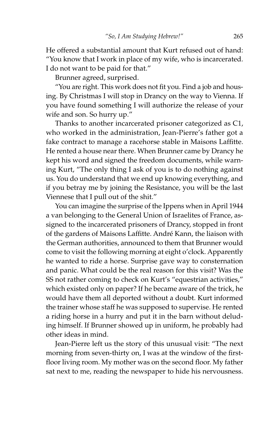He offered a substantial amount that Kurt refused out of hand: "You know that I work in place of my wife, who is incarcerated. I do not want to be paid for that."

Brunner agreed, surprised.

"You are right. This work does not fit you. Find a job and housing. By Christmas I will stop in Drancy on the way to Vienna. If you have found something I will authorize the release of your wife and son. So hurry up."

Thanks to another incarcerated prisoner categorized as C1, who worked in the administration, Jean-Pierre's father got a fake contract to manage a racehorse stable in Maisons Laffitte. He rented a house near there. When Brunner came by Drancy he kept his word and signed the freedom documents, while warning Kurt, "The only thing I ask of you is to do nothing against us. You do understand that we end up knowing everything, and if you betray me by joining the Resistance, you will be the last Viennese that I pull out of the shit."

You can imagine the surprise of the Ippens when in April 1944 a van belonging to the General Union of Israelites of France, assigned to the incarcerated prisoners of Drancy, stopped in front of the gardens of Maisons Laffitte. André Kann, the liaison with the German authorities, announced to them that Brunner would come to visit the following morning at eight o'clock. Apparently he wanted to ride a horse. Surprise gave way to consternation and panic. What could be the real reason for this visit? Was the SS not rather coming to check on Kurt's "equestrian activities," which existed only on paper? If he became aware of the trick, he would have them all deported without a doubt. Kurt informed the trainer whose staff he was supposed to supervise. He rented a riding horse in a hurry and put it in the barn without deluding himself. If Brunner showed up in uniform, he probably had other ideas in mind.

Jean-Pierre left us the story of this unusual visit: "The next morning from seven-thirty on, I was at the window of the firstfloor living room. My mother was on the second floor. My father sat next to me, reading the newspaper to hide his nervousness.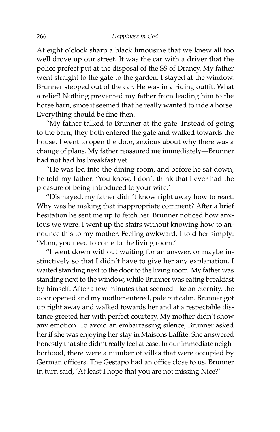At eight o'clock sharp a black limousine that we knew all too well drove up our street. It was the car with a driver that the police prefect put at the disposal of the SS of Drancy. My father went straight to the gate to the garden. I stayed at the window. Brunner stepped out of the car. He was in a riding outfit. What a relief! Nothing prevented my father from leading him to the horse barn, since it seemed that he really wanted to ride a horse. Everything should be fine then.

"My father talked to Brunner at the gate. Instead of going to the barn, they both entered the gate and walked towards the house. I went to open the door, anxious about why there was a change of plans. My father reassured me immediately—Brunner had not had his breakfast yet.

"He was led into the dining room, and before he sat down, he told my father: 'You know, I don't think that I ever had the pleasure of being introduced to your wife.'

"Dismayed, my father didn't know right away how to react. Why was he making that inappropriate comment? After a brief hesitation he sent me up to fetch her. Brunner noticed how anxious we were. I went up the stairs without knowing how to announce this to my mother. Feeling awkward, I told her simply: 'Mom, you need to come to the living room.'

"I went down without waiting for an answer, or maybe instinctively so that I didn't have to give her any explanation. I waited standing next to the door to the living room. My father was standing next to the window, while Brunner was eating breakfast by himself. After a few minutes that seemed like an eternity, the door opened and my mother entered, pale but calm. Brunner got up right away and walked towards her and at a respectable distance greeted her with perfect courtesy. My mother didn't show any emotion. To avoid an embarrassing silence, Brunner asked her if she was enjoying her stay in Maisons Laffite. She answered honestly that she didn't really feel at ease. In our immediate neighborhood, there were a number of villas that were occupied by German officers. The Gestapo had an office close to us. Brunner in turn said, 'At least I hope that you are not missing Nice?'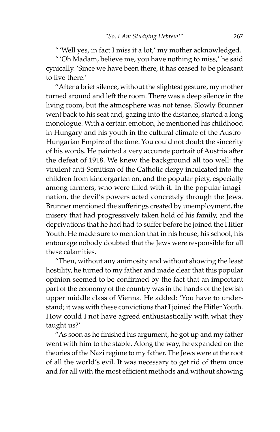"'Well yes, in fact I miss it a lot,' my mother acknowledged.

"'Oh Madam, believe me, you have nothing to miss,' he said cynically. 'Since we have been there, it has ceased to be pleasant to live there.'

"After a brief silence, without the slightest gesture, my mother turned around and left the room. There was a deep silence in the living room, but the atmosphere was not tense. Slowly Brunner went back to his seat and, gazing into the distance, started a long monologue. With a certain emotion, he mentioned his childhood in Hungary and his youth in the cultural climate of the Austro-Hungarian Empire of the time. You could not doubt the sincerity of his words. He painted a very accurate portrait of Austria after the defeat of 1918. We knew the background all too well: the virulent anti-Semitism of the Catholic clergy inculcated into the children from kindergarten on, and the popular piety, especially among farmers, who were filled with it. In the popular imagination, the devil's powers acted concretely through the Jews. Brunner mentioned the sufferings created by unemployment, the misery that had progressively taken hold of his family, and the deprivations that he had had to suffer before he joined the Hitler Youth. He made sure to mention that in his house, his school, his entourage nobody doubted that the Jews were responsible for all these calamities.

"Then, without any animosity and without showing the least hostility, he turned to my father and made clear that this popular opinion seemed to be confirmed by the fact that an important part of the economy of the country was in the hands of the Jewish upper middle class of Vienna. He added: 'You have to understand; it was with these convictions that I joined the Hitler Youth. How could I not have agreed enthusiastically with what they taught us?'

"As soon as he finished his argument, he got up and my father went with him to the stable. Along the way, he expanded on the theories of the Nazi regime to my father. The Jews were at the root of all the world's evil. It was necessary to get rid of them once and for all with the most efficient methods and without showing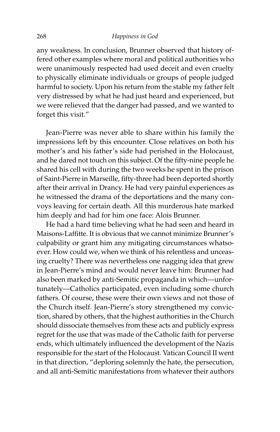any weakness. In conclusion, Brunner observed that history offered other examples where moral and political authorities who were unanimously respected had used deceit and even cruelty to physically eliminate individuals or groups of people judged harmful to society. Upon his return from the stable my father felt very distressed by what he had just heard and experienced, but we were relieved that the danger had passed, and we wanted to forget this visit."

Jean-Pierre was never able to share within his family the impressions left by this encounter. Close relatives on both his mother's and his father's side had perished in the Holocaust, and he dared not touch on this subject. Of the fifty-nine people he shared his cell with during the two weeks he spent in the prison of Saint-Pierre in Marseille, fifty-three had been deported shortly after their arrival in Drancy. He had very painful experiences as he witnessed the drama of the deportations and the many convoys leaving for certain death. All this murderous hate marked him deeply and had for him one face: Alois Brunner.

He had a hard time believing what he had seen and heard in Maisons-Laffitte. It is obvious that we cannot minimize Brunner's culpability or grant him any mitigating circumstances whatsoever. How could we, when we think of his relentless and unceasing cruelty? There was nevertheless one nagging idea that grew in Jean-Pierre's mind and would never leave him: Brunner had also been marked by anti-Semitic propaganda in which—unfortunately—Catholics participated, even including some church fathers. Of course, these were their own views and not those of the Church itself. Jean-Pierre's story strengthened my conviction, shared by others, that the highest authorities in the Church should dissociate themselves from these acts and publicly express regret for the use that was made of the Catholic faith for perverse ends, which ultimately influenced the development of the Nazis responsible for the start of the Holocaust. Vatican Council II went in that direction, "deploring solemnly the hate, the persecution, and all anti-Semitic manifestations from whatever their authors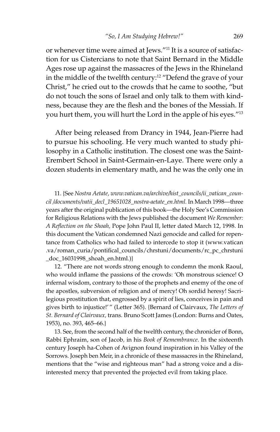or whenever time were aimed at Jews."11 It is a source of satisfaction for us Cistercians to note that Saint Bernard in the Middle Ages rose up against the massacres of the Jews in the Rhineland in the middle of the twelfth century:12 "Defend the grave of your Christ," he cried out to the crowds that he came to soothe, "but do not touch the sons of Israel and only talk to them with kindness, because they are the flesh and the bones of the Messiah. If you hurt them, you will hurt the Lord in the apple of his eyes."13

After being released from Drancy in 1944, Jean-Pierre had to pursue his schooling. He very much wanted to study philosophy in a Catholic institution. The closest one was the Saint-Erembert School in Saint-Germain-en-Laye. There were only a dozen students in elementary math, and he was the only one in

11. {See *Nostra Aetate, www.vatican.va/archive/hist\_councils/ii\_vatican\_council /documents/vatii\_decl\_19651028\_nostra-aetate\_en.html.* In March 1998—three years after the original publication of this book—the Holy See's Commission for Religious Relations with the Jews published the document *We Remember: A Reflection on the Shoah,* Pope John Paul II, letter dated March 12, 1998. In this document the Vatican condemned Nazi genocide and called for repentance from Catholics who had failed to intercede to stop it (www.vatican .va/roman\_curia/pontifical\_councils/chrstuni/documents/rc\_pc\_chrstuni \_doc\_16031998\_shoah\_en.html.)}

12. "There are not words strong enough to condemn the monk Raoul, who would inflame the passions of the crowds: 'Oh monstrous science! O infernal wisdom, contrary to those of the prophets and enemy of the one of the apostles, subversion of religion and of mercy! Oh sordid heresy! Sacrilegious prostitution that, engrossed by a spirit of lies, conceives in pain and gives birth to injustice!' " (Letter 365). {Bernard of Clairvaux, *The Letters of St. Bernard of Clairvaux,* trans. Bruno Scott James (London: Burns and Oates, 1953), no. 393, 465–66.}

13. See, from the second half of the twelfth century, the chronicler of Bonn, Rabbi Ephraim, son of Jacob*,* in his *Book of Remembrance*. In the sixteenth century Joseph ha-Cohen of Avignon found inspiration in his Valley of the Sorrows. Joseph ben Meir, in a chronicle of these massacres in the Rhineland, mentions that the "wise and righteous man" had a strong voice and a disinterested mercy that prevented the projected evil from taking place.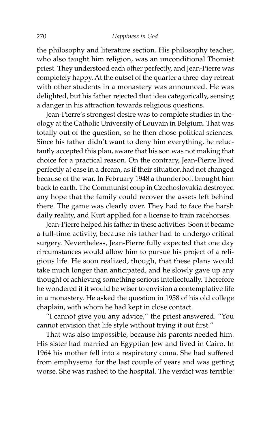the philosophy and literature section. His philosophy teacher, who also taught him religion, was an unconditional Thomist priest. They understood each other perfectly, and Jean-Pierre was completely happy. At the outset of the quarter a three-day retreat with other students in a monastery was announced. He was delighted, but his father rejected that idea categorically, sensing a danger in his attraction towards religious questions.

Jean-Pierre's strongest desire was to complete studies in theology at the Catholic University of Louvain in Belgium. That was totally out of the question, so he then chose political sciences. Since his father didn't want to deny him everything, he reluctantly accepted this plan, aware that his son was not making that choice for a practical reason. On the contrary, Jean-Pierre lived perfectly at ease in a dream, as if their situation had not changed because of the war. In February 1948 a thunderbolt brought him back to earth. The Communist coup in Czechoslovakia destroyed any hope that the family could recover the assets left behind there. The game was clearly over. They had to face the harsh daily reality, and Kurt applied for a license to train racehorses.

Jean-Pierre helped his father in these activities. Soon it became a full-time activity, because his father had to undergo critical surgery. Nevertheless, Jean-Pierre fully expected that one day circumstances would allow him to pursue his project of a religious life. He soon realized, though, that these plans would take much longer than anticipated, and he slowly gave up any thought of achieving something serious intellectually. Therefore he wondered if it would be wiser to envision a contemplative life in a monastery. He asked the question in 1958 of his old college chaplain, with whom he had kept in close contact.

"I cannot give you any advice," the priest answered. "You cannot envision that life style without trying it out first."

That was also impossible, because his parents needed him. His sister had married an Egyptian Jew and lived in Cairo. In 1964 his mother fell into a respiratory coma. She had suffered from emphysema for the last couple of years and was getting worse. She was rushed to the hospital. The verdict was terrible: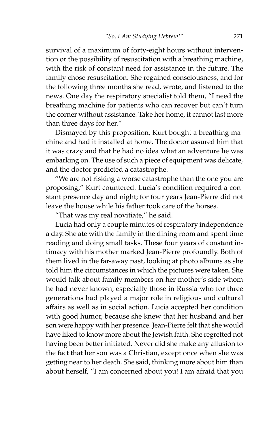survival of a maximum of forty-eight hours without intervention or the possibility of resuscitation with a breathing machine, with the risk of constant need for assistance in the future. The family chose resuscitation. She regained consciousness, and for the following three months she read, wrote, and listened to the news. One day the respiratory specialist told them, "I need the breathing machine for patients who can recover but can't turn the corner without assistance. Take her home, it cannot last more than three days for her."

Dismayed by this proposition, Kurt bought a breathing machine and had it installed at home. The doctor assured him that it was crazy and that he had no idea what an adventure he was embarking on. The use of such a piece of equipment was delicate, and the doctor predicted a catastrophe.

"We are not risking a worse catastrophe than the one you are proposing," Kurt countered. Lucia's condition required a constant presence day and night; for four years Jean-Pierre did not leave the house while his father took care of the horses.

"That was my real novitiate," he said.

Lucia had only a couple minutes of respiratory independence a day. She ate with the family in the dining room and spent time reading and doing small tasks. These four years of constant intimacy with his mother marked Jean-Pierre profoundly. Both of them lived in the far-away past, looking at photo albums as she told him the circumstances in which the pictures were taken. She would talk about family members on her mother's side whom he had never known, especially those in Russia who for three generations had played a major role in religious and cultural affairs as well as in social action. Lucia accepted her condition with good humor, because she knew that her husband and her son were happy with her presence. Jean-Pierre felt that she would have liked to know more about the Jewish faith. She regretted not having been better initiated. Never did she make any allusion to the fact that her son was a Christian, except once when she was getting near to her death. She said, thinking more about him than about herself, "I am concerned about you! I am afraid that you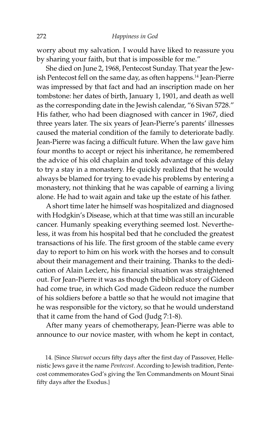worry about my salvation. I would have liked to reassure you by sharing your faith, but that is impossible for me."

She died on June 2, 1968, Pentecost Sunday. That year the Jewish Pentecost fell on the same day, as often happens.<sup>14</sup> Jean-Pierre was impressed by that fact and had an inscription made on her tombstone: her dates of birth, January 1, 1901, and death as well as the corresponding date in the Jewish calendar, "6 Sivan 5728." His father, who had been diagnosed with cancer in 1967, died three years later. The six years of Jean-Pierre's parents' illnesses caused the material condition of the family to deteriorate badly. Jean-Pierre was facing a difficult future. When the law gave him four months to accept or reject his inheritance, he remembered the advice of his old chaplain and took advantage of this delay to try a stay in a monastery. He quickly realized that he would always be blamed for trying to evade his problems by entering a monastery, not thinking that he was capable of earning a living alone. He had to wait again and take up the estate of his father.

A short time later he himself was hospitalized and diagnosed with Hodgkin's Disease, which at that time was still an incurable cancer. Humanly speaking everything seemed lost. Nevertheless, it was from his hospital bed that he concluded the greatest transactions of his life. The first groom of the stable came every day to report to him on his work with the horses and to consult about their management and their training. Thanks to the dedication of Alain Leclerc, his financial situation was straightened out. For Jean-Pierre it was as though the biblical story of Gideon had come true, in which God made Gideon reduce the number of his soldiers before a battle so that he would not imagine that he was responsible for the victory, so that he would understand that it came from the hand of God (Judg 7:1-8).

After many years of chemotherapy, Jean-Pierre was able to announce to our novice master, with whom he kept in contact,

14. {Since *Shavuot* occurs fifty days after the first day of Passover, Hellenistic Jews gave it the name *Pentecost*. According to Jewish tradition, Pentecost commemorates God's giving the Ten Commandments on Mount Sinai fifty days after the Exodus.}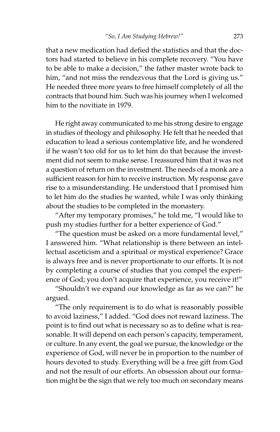that a new medication had defied the statistics and that the doctors had started to believe in his complete recovery. "You have to be able to make a decision," the father master wrote back to him, "and not miss the rendezvous that the Lord is giving us." He needed three more years to free himself completely of all the contracts that bound him. Such was his journey when I welcomed him to the novitiate in 1979.

He right away communicated to me his strong desire to engage in studies of theology and philosophy. He felt that he needed that education to lead a serious contemplative life, and he wondered if he wasn't too old for us to let him do that because the investment did not seem to make sense. I reassured him that it was not a question of return on the investment. The needs of a monk are a sufficient reason for him to receive instruction. My response gave rise to a misunderstanding. He understood that I promised him to let him do the studies he wanted, while I was only thinking about the studies to be completed in the monastery.

"After my temporary promises," he told me, "I would like to push my studies further for a better experience of God."

"The question must be asked on a more fundamental level," I answered him. "What relationship is there between an intellectual asceticism and a spiritual or mystical experience? Grace is always free and is never proportionate to our efforts. It is not by completing a course of studies that you compel the experience of God; you don't acquire that experience, you receive it!"

"Shouldn't we expand our knowledge as far as we can?" he argued.

"The only requirement is to do what is reasonably possible to avoid laziness," I added. "God does not reward laziness. The point is to find out what is necessary so as to define what is reasonable. It will depend on each person's capacity, temperament, or culture. In any event, the goal we pursue, the knowledge or the experience of God, will never be in proportion to the number of hours devoted to study. Everything will be a free gift from God and not the result of our efforts. An obsession about our formation might be the sign that we rely too much on secondary means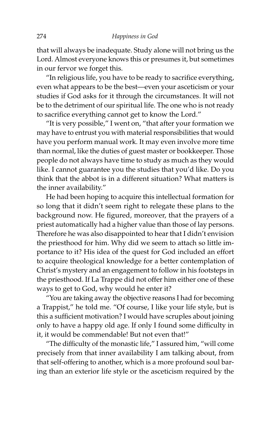that will always be inadequate. Study alone will not bring us the Lord. Almost everyone knows this or presumes it, but sometimes in our fervor we forget this.

"In religious life, you have to be ready to sacrifice everything, even what appears to be the best—even your asceticism or your studies if God asks for it through the circumstances. It will not be to the detriment of our spiritual life. The one who is not ready to sacrifice everything cannot get to know the Lord."

"It is very possible," I went on, "that after your formation we may have to entrust you with material responsibilities that would have you perform manual work. It may even involve more time than normal, like the duties of guest master or bookkeeper. Those people do not always have time to study as much as they would like. I cannot guarantee you the studies that you'd like. Do you think that the abbot is in a different situation? What matters is the inner availability."

He had been hoping to acquire this intellectual formation for so long that it didn't seem right to relegate these plans to the background now. He figured, moreover, that the prayers of a priest automatically had a higher value than those of lay persons. Therefore he was also disappointed to hear that I didn't envision the priesthood for him. Why did we seem to attach so little importance to it? His idea of the quest for God included an effort to acquire theological knowledge for a better contemplation of Christ's mystery and an engagement to follow in his footsteps in the priesthood. If La Trappe did not offer him either one of these ways to get to God, why would he enter it?

"You are taking away the objective reasons I had for becoming a Trappist," he told me. "Of course, I like your life style, but is this a sufficient motivation? I would have scruples about joining only to have a happy old age. If only I found some difficulty in it, it would be commendable! But not even that!"

"The difficulty of the monastic life," I assured him, "will come precisely from that inner availability I am talking about, from that self-offering to another, which is a more profound soul baring than an exterior life style or the asceticism required by the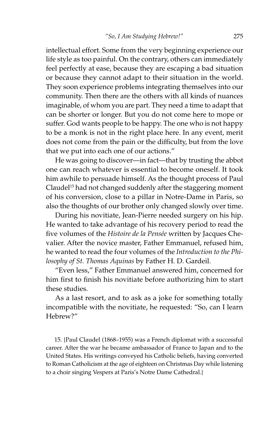intellectual effort. Some from the very beginning experience our life style as too painful. On the contrary, others can immediately feel perfectly at ease, because they are escaping a bad situation or because they cannot adapt to their situation in the world. They soon experience problems integrating themselves into our community. Then there are the others with all kinds of nuances imaginable, of whom you are part. They need a time to adapt that can be shorter or longer. But you do not come here to mope or suffer. God wants people to be happy. The one who is not happy to be a monk is not in the right place here. In any event, merit does not come from the pain or the difficulty, but from the love that we put into each one of our actions."

He was going to discover—in fact—that by trusting the abbot one can reach whatever is essential to become oneself. It took him awhile to persuade himself. As the thought process of Paul Claudel<sup>15</sup> had not changed suddenly after the staggering moment of his conversion, close to a pillar in Notre-Dame in Paris, so also the thoughts of our brother only changed slowly over time.

During his novitiate, Jean-Pierre needed surgery on his hip. He wanted to take advantage of his recovery period to read the five volumes of the *Histoire de la Pensée* written by Jacques Chevalier. After the novice master, Father Emmanuel, refused him, he wanted to read the four volumes of the *Introduction to the Philosophy of St. Thomas Aquinas* by Father H. D. Gardeil.

"Even less," Father Emmanuel answered him, concerned for him first to finish his novitiate before authorizing him to start these studies.

As a last resort, and to ask as a joke for something totally incompatible with the novitiate, he requested: "So, can I learn Hebrew?"

15. {Paul Claudel (1868–1955) was a French diplomat with a successful career. After the war he became ambassador of France to Japan and to the United States. His writings conveyed his Catholic beliefs, having converted to Roman Catholicism at the age of eighteen on Christmas Day while listening to a choir singing Vespers at Paris's Notre Dame Cathedral.}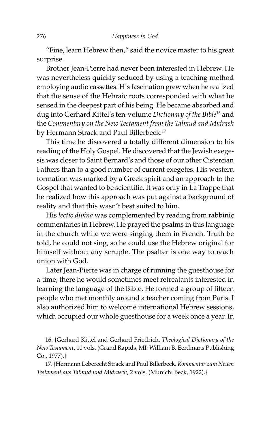"Fine, learn Hebrew then," said the novice master to his great surprise.

Brother Jean-Pierre had never been interested in Hebrew. He was nevertheless quickly seduced by using a teaching method employing audio cassettes. His fascination grew when he realized that the sense of the Hebraic roots corresponded with what he sensed in the deepest part of his being. He became absorbed and dug into Gerhard Kittel's ten-volume *Dictionary of the Bible*16 and the *Commentary on the New Testament from the Talmud and Midrash* by Hermann Strack and Paul Billerbeck.<sup>17</sup>

This time he discovered a totally different dimension to his reading of the Holy Gospel. He discovered that the Jewish exegesis was closer to Saint Bernard's and those of our other Cistercian Fathers than to a good number of current exegetes. His western formation was marked by a Greek spirit and an approach to the Gospel that wanted to be scientific. It was only in La Trappe that he realized how this approach was put against a background of reality and that this wasn't best suited to him.

His *lectio divina* was complemented by reading from rabbinic commentaries in Hebrew. He prayed the psalms in this language in the church while we were singing them in French. Truth be told, he could not sing, so he could use the Hebrew original for himself without any scruple. The psalter is one way to reach union with God.

Later Jean-Pierre was in charge of running the guesthouse for a time; there he would sometimes meet retreatants interested in learning the language of the Bible. He formed a group of fifteen people who met monthly around a teacher coming from Paris. I also authorized him to welcome international Hebrew sessions, which occupied our whole guesthouse for a week once a year. In

16. {Gerhard Kittel and Gerhard Friedrich, *Theological Dictionary of the New Testament*, 10 vols. (Grand Rapids, MI: William B. Eerdmans Publishing Co., 1977).}

17. {Hermann Leberecht Strack and Paul Billerbeck, *Kommentar zum Neuen Testament aus Talmud und Midrasch*, 2 vols. (Munich: Beck, 1922).}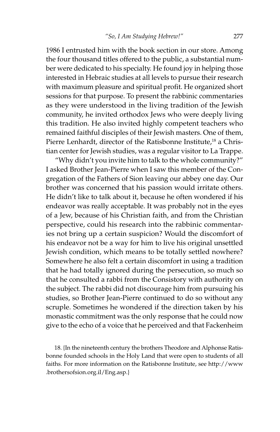1986 I entrusted him with the book section in our store. Among the four thousand titles offered to the public, a substantial number were dedicated to his specialty. He found joy in helping those interested in Hebraic studies at all levels to pursue their research with maximum pleasure and spiritual profit. He organized short sessions for that purpose. To present the rabbinic commentaries as they were understood in the living tradition of the Jewish community, he invited orthodox Jews who were deeply living this tradition. He also invited highly competent teachers who remained faithful disciples of their Jewish masters. One of them, Pierre Lenhardt, director of the Ratisbonne Institute,<sup>18</sup> a Christian center for Jewish studies, was a regular visitor to La Trappe.

"Why didn't you invite him to talk to the whole community?" I asked Brother Jean-Pierre when I saw this member of the Congregation of the Fathers of Sion leaving our abbey one day. Our brother was concerned that his passion would irritate others. He didn't like to talk about it, because he often wondered if his endeavor was really acceptable. It was probably not in the eyes of a Jew, because of his Christian faith, and from the Christian perspective, could his research into the rabbinic commentaries not bring up a certain suspicion? Would the discomfort of his endeavor not be a way for him to live his original unsettled Jewish condition, which means to be totally settled nowhere? Somewhere he also felt a certain discomfort in using a tradition that he had totally ignored during the persecution, so much so that he consulted a rabbi from the Consistory with authority on the subject. The rabbi did not discourage him from pursuing his studies, so Brother Jean-Pierre continued to do so without any scruple. Sometimes he wondered if the direction taken by his monastic commitment was the only response that he could now give to the echo of a voice that he perceived and that Fackenheim

18. {In the nineteenth century the brothers Theodore and Alphonse Ratisbonne founded schools in the Holy Land that were open to students of all faiths. For more information on the Ratisbonne Institute, see http://www .brothersofsion.org.il/Eng.asp.}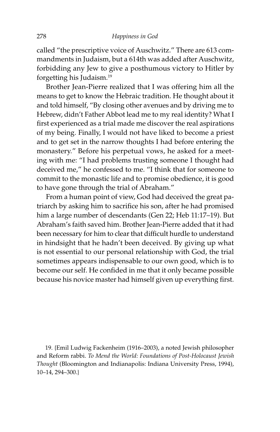called "the prescriptive voice of Auschwitz." There are 613 commandments in Judaism, but a 614th was added after Auschwitz, forbidding any Jew to give a posthumous victory to Hitler by forgetting his Judaism.19

Brother Jean-Pierre realized that I was offering him all the means to get to know the Hebraic tradition. He thought about it and told himself, "By closing other avenues and by driving me to Hebrew, didn't Father Abbot lead me to my real identity? What I first experienced as a trial made me discover the real aspirations of my being. Finally, I would not have liked to become a priest and to get set in the narrow thoughts I had before entering the monastery." Before his perpetual vows, he asked for a meeting with me: "I had problems trusting someone I thought had deceived me," he confessed to me. "I think that for someone to commit to the monastic life and to promise obedience, it is good to have gone through the trial of Abraham."

From a human point of view, God had deceived the great patriarch by asking him to sacrifice his son, after he had promised him a large number of descendants (Gen 22; Heb 11:17–19). But Abraham's faith saved him. Brother Jean-Pierre added that it had been necessary for him to clear that difficult hurdle to understand in hindsight that he hadn't been deceived. By giving up what is not essential to our personal relationship with God, the trial sometimes appears indispensable to our own good, which is to become our self. He confided in me that it only became possible because his novice master had himself given up everything first.

19. {Emil Ludwig Fackenheim (1916–2003), a noted Jewish philosopher and Reform rabbi. *To Mend the World: Foundations of Post-Holocaust Jewish Thought* (Bloomington and Indianapolis: Indiana University Press, 1994), 10–14, 294–300.}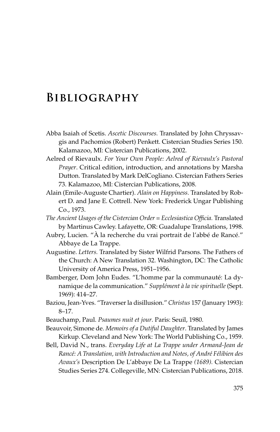### **Bibliography**

- Abba Isaiah of Scetis. *Ascetic Discourses.* Translated by John Chryssavgis and Pachomios (Robert) Penkett. Cistercian Studies Series 150. Kalamazoo, MI: Cistercian Publications, 2002.
- Aelred of Rievaulx. *For Your Own People: Aelred of Rievaulx's Pastoral Prayer*. Critical edition, introduction, and annotations by Marsha Dutton. Translated by Mark DelCogliano. Cistercian Fathers Series 73. Kalamazoo, MI: Cistercian Publications, 2008.
- Alain (Emile-Auguste Chartier). *Alain on Happiness.* Translated by Robert D. and Jane E. Cottrell. New York: Frederick Ungar Publishing Co., 1973.
- *The Ancient Usages of the Cistercian Order = Ecclesiastica Officia.* Translated by Martinus Cawley. Lafayette, OR: Guadalupe Translations, 1998.
- Aubry, Lucien. "À la recherche du vrai portrait de l'abbé de Rancé." Abbaye de La Trappe.
- Augustine. *Letters.* Translated by Sister Wilfrid Parsons. The Fathers of the Church: A New Translation 32. Washington, DC: The Catholic University of America Press, 1951–1956.
- Bamberger, Dom John Eudes. "L'homme par la communauté: La dynamique de la communication." *Supplément à la vie spirituelle* (Sept. 1969): 414–27.
- Baziou, Jean-Yves. "Traverser la disillusion." *Christus* 157 (January 1993): 8–17.
- Beauchamp, Paul. *Psaumes nuit et jour*. Paris: Seuil, 1980.
- Beauvoir, Simone de. *Memoirs of a Dutiful Daughter*. Translated by James Kirkup. Cleveland and New York: The World Publishing Co., 1959.
- Bell, David N., trans. *Everyday Life at La Trappe under Armand-Jean de Rancé: A Translation, with Introduction and Notes, of André Félibien des Avaux's* Description De L'abbaye De La Trappe *(1689).* Cistercian Studies Series 274. Collegeville, MN: Cistercian Publications, 2018.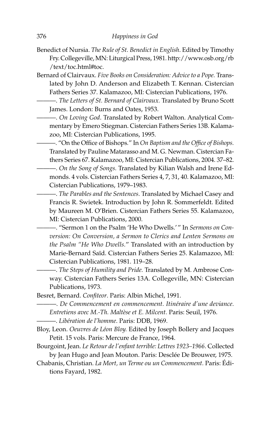- Benedict of Nursia. *The Rule of St. Benedict in English*. Edited by Timothy Fry. Collegeville, MN: Liturgical Press, 1981. http://www.osb.org/rb /text/toc.html#toc.
- Bernard of Clairvaux. *Five Books on Consideration: Advice to a Pope.* Translated by John D. Anderson and Elizabeth T. Kennan. Cistercian Fathers Series 37. Kalamazoo, MI: Cistercian Publications, 1976.
	- ———. *The Letters of St. Bernard of Clairvaux.* Translated by Bruno Scott James. London: Burns and Oates, 1953.
	- ———. *On Loving God*. Translated by Robert Walton. Analytical Commentary by Emero Stiegman. Cistercian Fathers Series 13B. Kalamazoo, MI: Cistercian Publications, 1995.
	- ———. "On the Office of Bishops*.*" In *On Baptism and the Office of Bishops.* Translated by Pauline Matarasso and M. G. Newman. Cistercian Fathers Series 67. Kalamazoo, MI: Cistercian Publications, 2004. 37–82.
	- ———. *On the Song of Songs.* Translated by Kilian Walsh and Irene Edmonds. 4 vols. Cistercian Fathers Series 4, 7, 31, 40. Kalamazoo, MI: Cistercian Publications, 1979–1983.
		- ———. *The Parables and the Sentences*. Translated by Michael Casey and Francis R. Swietek. Introduction by John R. Sommerfeldt. Edited by Maureen M. O'Brien. Cistercian Fathers Series 55. Kalamazoo, MI: Cistercian Publications, 2000.
		- ———. "Sermon 1 on the Psalm 'He Who Dwells.' " In *Sermons on Conversion: On Conversion, a Sermon to Clerics and Lenten Sermons on the Psalm "He Who Dwells.*" Translated with an introduction by Marie-Bernard Saïd. Cistercian Fathers Series 25. Kalamazoo, MI: Cistercian Publications, 1981. 119–28.
	- ———. *The Steps of Humility and Pride.* Translated by M. Ambrose Conway. Cistercian Fathers Series 13A. Collegeville, MN: Cistercian Publications, 1973.
- Besret, Bernard. *Confiteor*. Paris: Albin Michel, 1991.
	- ———. *De Commencement en commencement. Itinéraire d'une deviance. Entretiens avec M.-Th. Maltèse et E. Milcent.* Paris: Seuil, 1976.
		- ———. *Libération de l'homme*. Paris: DDB, 1969.
- Bloy, Leon. *Oeuvres de Léon Bloy.* Edited by Joseph Bollery and Jacques Petit. 15 vols. Paris: Mercure de France, 1964.
- Bourgoint, Jean. *Le Retour de l'enfant terrible: Lettres 1923–1966*. Collected by Jean Hugo and Jean Mouton. Paris: Desclée De Brouwer, 1975.
- Chabanis, Christian. *La Mort, un Terme ou un Commencement.* Paris: Éditions Fayard, 1982.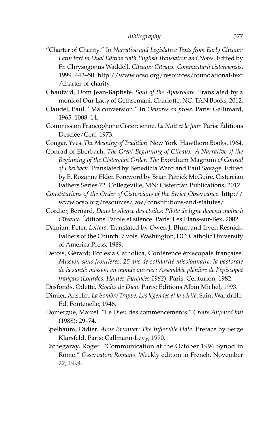- "Charter of Charity*.*" In *Narrative and Legislative Texts from Early Cîteaux: Latin text in Dual Edition with English Translation and Notes*. Edited by Fr. Chrysogonus Waddell. *Cîteaux: Cîteaux–Commentarii cisterciensis*, 1999. 442–50. http://www.ocso.org/resources/foundational-text /charter-of-charity.
- Chautard, Dom Jean-Baptiste. *Soul of the Apostolate.* Translated by a monk of Our Lady of Gethsemani. Charlotte, NC: TAN Books, 2012.
- Claudel, Paul. "Ma conversion." In *Oeuvres en prose.* Paris: Gallimard, 1965. 1008–14.
- Commission Francophone Cistercienne. *La Nuit et le Jour.* Paris: Éditions Desclée/Cerf, 1973.
- Congar, Yves. *The Meaning of Tradition*. New York: Hawthorn Books, 1964.
- Conrad of Eberbach. *The Great Beginning of Cîteaux, A Narrative of the Beginning of the Cistercian Order: The* Exordium Magnum *of Conrad of Eberbach*. Translated by Benedicta Ward and Paul Savage. Edited by E. Rozanne Elder. Foreword by Brian Patrick McGuire. Cistercian Fathers Series 72. Collegeville, MN: Cistercian Publications, 2012.
- *Constitutions of the Order of Cistercians of the Strict Observance.* http:// www.ocso.org/resources/law/constitutions-and-statutes/.
- Cordier, Bernard. *Dans le silence des étoiles: Pilote de ligne devenu moine à Cîteaux.* Éditions Parole et silence. Paris: Les Plans-sur-Bex, 2002.
- Damian, Peter. *Letters.* Translated by Owen J. Blum and Irven Resnick. Fathers of the Church. 7 vols. Washington, DC: Catholic University of America Press, 1989.
- Defois, Gérard; Ecclesia Catholica, Conférence épiscopale française. *Mission sans frontières: 25 ans de solidarité missionnaire: la pastorale de la santé: mission en monde ouvrier: Assemblée plénière de l'épiscopat français* (*Lourdes, Hautes-Pyrénées 1982*). Paris: Centurion, 1982.
- Desfonds, Odette. *Rivales de Dieu.* Paris: Éditions Albin Michel, 1993.
- Dimier, Anselm. *La Sombre Trappe: Les légendes et la vérité*. Saint Wandrille: Ed. Fontenelle, 1946.
- Domergue, Marcel. "Le Dieu des commencements." *Croire Aujourd'hui* (1988): 29–74.
- Epelbaum, Didier. *Alois Brunner: The Inflexible Hate.* Preface by Serge Klarsfeld. Paris: Callmann-Levy, 1990.
- Etchegaray, Roger. "Communication at the October 1994 Synod in Rome." *Osservatore Romano.* Weekly edition in French. November 22, 1994.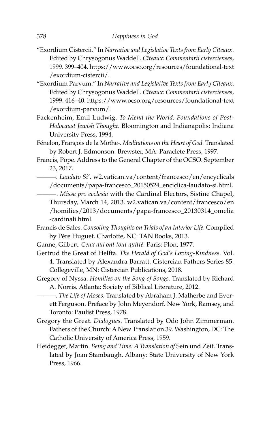- "Exordium Cistercii*.*" In *Narrative and Legislative Texts from Early Cîteaux*. Edited by Chrysogonus Waddell. *Cîteaux: Commentarii cistercienses*, 1999. 399–404. https://www.ocso.org/resources/foundational-text /exordium-cistercii/.
- "Exordium Parvum." In *Narrative and Legislative Texts from Early Cîteaux*. Edited by Chrysogonus Waddell. *Cîteaux: Commentarii cistercienses*, 1999. 416–40. https://www.ocso.org/resources/foundational-text /exordium-parvum/.
- Fackenheim, Emil Ludwig. *To Mend the World: Foundations of Post-Holocaust Jewish Thought.* Bloomington and Indianapolis: Indiana University Press, 1994.
- Fénelon, François de la Mothe-. *Meditations on the Heart of God.* Translated by Robert J. Edmonson. Brewster, MA: Paraclete Press, 1997.
- Francis, Pope. Address to the General Chapter of the OCSO. September 23, 2017.
	- ———. *Laudato Si'.* w2.vatican.va/content/francesco/en/encyclicals /documents/papa-francesco\_20150524\_enciclica-laudato-si.html.
	- ———. *Missa pro ecclesia* with the Cardinal Electors, Sistine Chapel, Thursday, March 14, 2013. w2.vatican.va/content/francesco/en /homilies/2013/documents/papa-francesco\_20130314\_omelia -cardinali.html.
- Francis de Sales. *Consoling Thoughts on Trials of an Interior Life.* Compiled by Père Huguet. Charlotte, NC: TAN Books, 2013.
- Ganne, Gilbert. *Ceux qui ont tout quitté.* Paris: Plon, 1977.
- Gertrud the Great of Helfta. *The Herald of God's Loving-Kindness.* Vol. 4. Translated by Alexandra Barratt. Cistercian Fathers Series 85. Collegeville, MN: Cistercian Publications, 2018.
- Gregory of Nyssa. *Homilies on the Song of Songs.* Translated by Richard A. Norris. Atlanta: Society of Biblical Literature, 2012.

———. *The Life of Moses.* Translated by Abraham J. Malherbe and Everett Ferguson. Preface by John Meyendorf. New York, Ramsey, and Toronto: Paulist Press, 1978.

- Gregory the Great. *Dialogues*. Translated by Odo John Zimmerman. Fathers of the Church: A New Translation 39. Washington, DC: The Catholic University of America Press, 1959.
- Heidegger, Martin. *Being and Time: A Translation of* Sein und Zeit. Translated by Joan Stambaugh. Albany: State University of New York Press, 1966.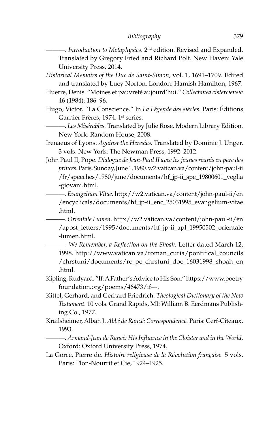- ———. *Introduction to Metaphysics.* 2nd edition. Revised and Expanded. Translated by Gregory Fried and Richard Polt. New Haven: Yale University Press, 2014.
- *Historical Memoirs of the Duc de Saint-Simon*, vol. 1, 1691–1709. Edited and translated by Lucy Norton. London: Hamish Hamilton, 1967.
- Huerre, Denis. "Moines et pauvreté aujourd'hui." *Collectanea cisterciensia* 46 (1984): 186–96.
- Hugo, Victor. "La Conscience." In *La Légende des siècles*. Paris: Éditions Garnier Frères, 1974. 1<sup>st</sup> series.
	- ———. *Les Misérables.* Translated by Julie Rose. Modern Library Edition*.* New York: Random House, 2008.
- Irenaeus of Lyons. *Against the Heresies.* Translated by Dominic J. Unger. 3 vols. New York: The Newman Press, 1992–2012.
- John Paul II, Pope. *Dialogue de Jean-Paul II avec les jeunes réunis en parc des princes.* Paris. Sunday, June 1, 1980. w2.vatican.va/content/john-paul-ii /fr/speeches/1980/june/documents/hf\_jp-ii\_spe\_19800601\_veglia -giovani.html.

———. *Evangelium Vitae*. http://w2.vatican.va/content/john-paul-ii/en /encyclicals/documents/hf\_jp-ii\_enc\_25031995\_evangelium-vitae .html.

———. *Orientale Lumen*. http://w2.vatican.va/content/john-paul-ii/en /apost\_letters/1995/documents/hf\_jp-ii\_apl\_19950502\_orientale -lumen.html.

- ———. *We Remember, a Reflection on the Shoah.* Letter dated March 12, 1998. http://www.vatican.va/roman\_curia/pontifical\_councils /chrstuni/documents/rc\_pc\_chrstuni\_doc\_16031998\_shoah\_en .html.
- Kipling, Rudyard. "If: A Father's Advice to His Son." https://www.poetry foundation.org/poems/46473/if---.
- Kittel, Gerhard, and Gerhard Friedrich. *Theological Dictionary of the New Testament.* 10 vols. Grand Rapids, MI: William B. Eerdmans Publishing Co., 1977.
- Krailsheimer, Alban J. *Abbé de Rancé: Correspondence.* Paris: Cerf-Cîteaux, 1993.

———. *Armand-Jean de Rancé: His Influence in the Cloister and in the World*. Oxford: Oxford University Press, 1974.

La Gorce, Pierre de. *Histoire religieuse de la Révolution française.* 5 vols. Paris: Plon-Nourrit et Cie, 1924–1925.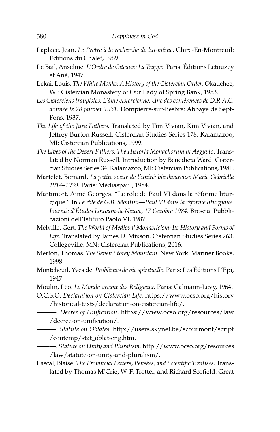- Laplace, Jean. *Le Prêtre à la recherche de lui-même*. Chire-En-Montreuil: Éditions du Chalet, 1969.
- Le Bail, Anselme. *L'Ordre de Citeaux: La Trappe*. Paris: Éditions Letouzey et Ané, 1947.
- Lekai, Louis. *The White Monks: A History of the Cistercian Order*. Okauchee, WI: Cistercian Monastery of Our Lady of Spring Bank, 1953.
- *Les Cisterciens trappistes: L'âme cistercienne. Une des conférences de D.R.A.C. donnée le 28 janvier 1931.* Dompierre-sur-Besbre: Abbaye de Sept-Fons, 1937.
- *The Life of the Jura Fathers.* Translated by Tim Vivian, Kim Vivian, and Jeffrey Burton Russell. Cistercian Studies Series 178. Kalamazoo, MI: Cistercian Publications, 1999.
- *The Lives of the Desert Fathers: The Historia Monachorum in Aegypto*. Translated by Norman Russell. Introduction by Benedicta Ward. Cistercian Studies Series 34. Kalamazoo, MI: Cistercian Publications, 1981.
- Martelet, Bernard. *La petite soeur de l'unité: bienheureuse Marie Gabriella 1914–1939*. Paris: Médiaspaul, 1984.
- Martimort, Aimé Georges. "Le rôle de Paul VI dans la réforme liturgique." In *Le rôle de G.B. Montini—Paul VI dans la réforme liturgique. Journée d'Études Louvain-la-Neuve, 17 Octobre 1984*. Brescia: Pubblicazioni dell'Istituto Paolo VI, 1987.
- Melville, Gert. *The World of Medieval Monasticism: Its History and Forms of Life*. Translated by James D. Mixson. Cistercian Studies Series 263. Collegeville, MN: Cistercian Publications, 2016.
- Merton, Thomas. *The Seven Storey Mountain.* New York: Mariner Books, 1998.
- Montcheuil, Yves de. *Problèmes de vie spirituelle*. Paris: Les Éditions L'Epi, 1947.
- Moulin, Léo. *Le Monde vivant des Religieux*. Paris: Calmann-Levy, 1964.
- O.C.S.O. *Declaration on Cistercian Life.* https://www.ocso.org/history /historical-texts/declaration-on-cistercian-life/.
- ———. *Decree of Unification.* https://www.ocso.org/resources/law /decree-on-unification/.
- ———. *Statute on Oblates.* http://users.skynet.be/scourmont/script /contemp/stat\_oblat-eng.htm.
- ———. *Statute on Unity and Pluralism.* http://www.ocso.org/resources /law/statute-on-unity-and-pluralism/.
- Pascal, Blaise. *The Provincial Letters, Pensées, and Scientific Treatises.* Translated by Thomas M'Crie, W. F. Trotter, and Richard Scofield. Great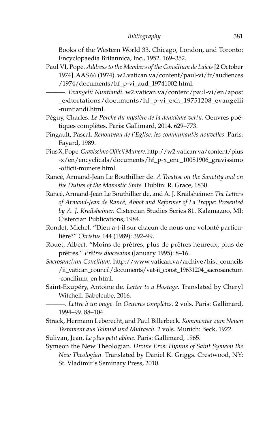Books of the Western World 33. Chicago, London, and Toronto: Encyclopaedia Britannica, Inc., 1952. 169–352.

- Paul VI, Pope. *Address to the Members of the Consilium de Laicis* [2 October 1974]. AAS 66 (1974). w2.vatican.va/content/paul-vi/fr/audiences /1974/documents/hf\_p-vi\_aud\_19741002.html.
	- ———. *Evangelii Nuntiandi*. w2.vatican.va/content/paul-vi/en/apost \_exhortations/documents/hf\_p-vi\_exh\_19751208\_evangelii -nuntiandi.html.
- Péguy, Charles. *Le Porche du mystère de la deuxième vertu*. Oeuvres poétiques complètes*.* Paris: Gallimard, 2014. 629–773.
- Pingault, Pascal. *Renouveau de l'Eglise: les communautés nouvelles*. Paris: Fayard, 1989.
- Pius X, Pope. *Gravissimo Officii Munere.* http://w2.vatican.va/content/pius -x/en/encyclicals/documents/hf\_p-x\_enc\_10081906\_gravissimo -officii-munere.html.
- Rancé, Armand-Jean Le Bouthillier de. *A Treatise on the Sanctity and on the Duties of the Monastic State.* Dublin: R. Grace, 1830.
- Rancé, Armand-Jean Le Bouthillier de, and A. J. Krailsheimer. *The Letters of Armand-Jean de Rancé, Abbot and Reformer of La Trappe: Presented by A. J. Krailsheimer.* Cistercian Studies Series 81. Kalamazoo, MI: Cistercian Publications, 1984.
- Rondet, Michel. "Dieu a-t-il sur chacun de nous une volonté particulière?" *Christus* 144 (1989): 392–99.
- Rouet, Albert. "Moins de prêtres, plus de prêtres heureux, plus de prêtres." *Prêtres diocesains* (January 1995): 8–16.
- *Sacrosanctum Concilium*. http://www.vatican.va/archive/hist\_councils /ii\_vatican\_council/documents/vat-ii\_const\_19631204\_sacrosanctum -concilium\_en.html.
- Saint-Exupéry, Antoine de. *Letter to a Hostage.* Translated by Cheryl Witchell. Babelcube, 2016.
- ———. *Lettre à un otage.* In *Oeuvres complètes.* 2 vols. Paris: Gallimard, 1994–99. 88–104.
- Strack, Hermann Leberecht, and Paul Billerbeck. *Kommentar zum Neuen Testament aus Talmud und Midrasch.* 2 vols. Munich: Beck, 1922.
- Sulivan, Jean. *Le plus petit abime*. Paris: Gallimard, 1965.
- Symeon the New Theologian. *Divine Eros: Hymns of Saint Symeon the New Theologian.* Translated by Daniel K. Griggs. Crestwood, NY: St. Vladimir's Seminary Press, 2010.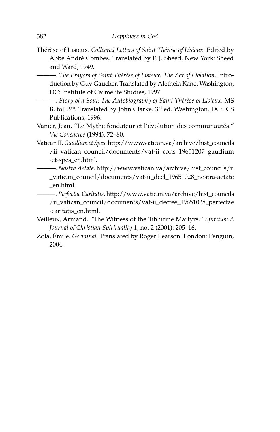- Thérèse of Lisieux. *Collected Letters of Saint Thérèse of Lisieux*. Edited by Abbé André Combes. Translated by F. J. Sheed. New York: Sheed and Ward, 1949.
	- ———. *The Prayers of Saint Thérèse of Lisieux: The Act of Oblation.* Introduction by Guy Gaucher. Translated by Aletheia Kane. Washington, DC: Institute of Carmelite Studies, 1997.
	- ———. *Story of a Soul: The Autobiography of Saint Thérèse of Lisieux*. MS B, fol. 3vo. Translated by John Clarke. 3rd ed. Washington, DC: ICS Publications, 1996.
- Vanier, Jean. "Le Mythe fondateur et l'évolution des communautés." *Vie Consacrée* (1994): 72–80.
- Vatican II. *Gaudium et Spes*. http://www.vatican.va/archive/hist\_councils /ii\_vatican\_council/documents/vat-ii\_cons\_19651207\_gaudium -et-spes\_en.html.
	- ———. *Nostra Aetate*. http://www.vatican.va/archive/hist\_councils/ii \_vatican\_council/documents/vat-ii\_decl\_19651028\_nostra-aetate \_en.html.
		- ———. *Perfectae Caritatis*. http://www.vatican.va/archive/hist\_councils /ii\_vatican\_council/documents/vat-ii\_decree\_19651028\_perfectae -caritatis\_en.html.
- Veilleux, Armand. "The Witness of the Tibhirine Martyrs." *Spiritus: A Journal of Christian Spirituality* 1, no. 2 (2001): 205–16.
- Zola, Émile. *Germinal.* Translated by Roger Pearson. London: Penguin, 2004.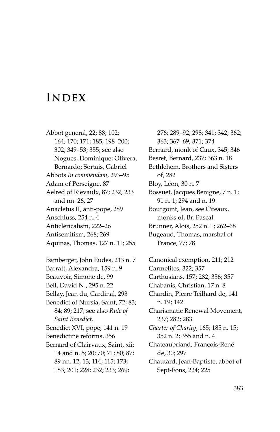### **Index**

Abbot general, 22; 88; 102; 164; 170; 171; 185; 198–200; 302; 349–53; 355; see also Nogues, Dominique; Olivera, Bernardo; Sortais, Gabriel Abbots *In commendam*, 293–95 Adam of Perseigne, 87 Aelred of Rievaulx, 87; 232; 233 and nn. 26, 27 Anacletus II, anti-pope, 289 Anschluss, 254 n. 4 Anticlericalism, 222–26 Antisemitism, 268; 269 Aquinas, Thomas, 127 n. 11; 255

- Bamberger, John Eudes, 213 n. 7 Barratt, Alexandra, 159 n. 9 Beauvoir, Simone de, 99 Bell, David N., 295 n. 22 Bellay, Jean du, Cardinal, 293 Benedict of Nursia, Saint, 72; 83; 84; 89; 217; see also *Rule of Saint Benedict*. Benedict XVI, pope, 141 n. 19 Benedictine reforms, 356
- Bernard of Clairvaux, Saint, xii; 14 and n. 5; 20; 70; 71; 80; 87; 89 nn. 12, 13; 114; 115; 173; 183; 201; 228; 232; 233; 269;

276; 289–92; 298; 341; 342; 362; 363; 367–69; 371; 374 Bernard, monk of Caux, 345; 346 Besret, Bernard, 237; 363 n. 18 Bethlehem, Brothers and Sisters of, 282 Bloy, Léon, 30 n. 7 Bossuet, Jacques Benigne, 7 n. 1; 91 n. 1; 294 and n. 19 Bourgoint, Jean, see Cîteaux, monks of, Br. Pascal Brunner, Alois, 252 n. 1; 262–68 Bugeaud, Thomas, marshal of France, 77; 78

Canonical exemption, 211; 212 Carmelites, 322; 357 Carthusians, 157; 282; 356; 357 Chabanis, Christian, 17 n. 8 Chardin, Pierre Teilhard de, 141 n. 19; 142 Charismatic Renewal Movement, 237; 282; 283 *Charter of Charity*, 165; 185 n. 15; 352 n. 2; 355 and n. 4 Chateaubriand, François-René de, 30; 297 Chautard, Jean-Baptiste, abbot of Sept-Fons, 224; 225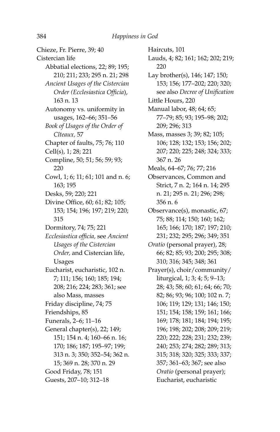Chieze, Fr. Pierre, 39; 40 Cistercian life Abbatial elections, 22; 89; 195; 210; 211; 233; 295 n. 21; 298 *Ancient Usages of the Cistercian Order (Ecclesiastica Officia*), 163 n. 13 Autonomy vs. uniformity in usages, 162–66; 351–56 *Book of Usages of the Order of Cîteaux,* 57 Chapter of faults, 75; 76; 110 Cell(s), 1; 28; 221 Compline, 50; 51; 56; 59; 93; 220 Cowl, 1; 6; 11; 61; 101 and n. 6; 163; 195 Desks, 59; 220; 221 Divine Office, 60; 61; 82; 105; 153; 154; 196; 197; 219; 220; 315 Dormitory, 74; 75; 221 *Ecclesiastica officia,* see *Ancient Usages of the Cistercian Order,* and Cistercian life, Usages Eucharist, eucharistic, 102 n. 7; 111; 156; 160; 185; 194; 208; 216; 224; 283; 361; see also Mass, masses Friday discipline, 74; 75 Friendships, 85 Funerals, 2–6; 11–16 General chapter(s), 22; 149; 151; 154 n. 4; 160–66 n. 16; 170; 186; 187; 195–97; 199; 313 n. 3; 350; 352–54; 362 n. 15; 369 n. 28; 370 n. 29 Good Friday, 78; 151 Guests, 207–10; 312–18

Haircuts, 101 Lauds, 4; 82; 161; 162; 202; 219; 220 Lay brother(s), 146; 147; 150; 153; 156; 177–202; 220; 320; see also *Decree of Unification* Little Hours, 220 Manual labor, 48; 64; 65; 77–79; 85; 93; 195–98; 202; 209; 296; 313 Mass, masses 3; 39; 82; 105; 106; 128; 132; 153; 156; 202; 207; 220; 225; 248; 324; 333; 367 n. 26 Meals, 64–67; 76; 77; 216 Observances, Common and Strict, 7 n. 2; 164 n. 14; 295 n. 21; 295 n. 21; 296; 298; 356 n. 6 Observance(s), monastic, 67; 75; 88; 114; 150; 160; 162; 165; 166; 170; 187; 197; 210; 231; 232; 295; 296; 349; 351 *Oratio* (personal prayer), 28; 66; 82; 85; 93; 200; 295; 308; 310; 316; 345; 348; 361 Prayer(s), choir/community/ liturgical, 1; 3; 4; 5; 9–13; 28; 43; 58; 60; 61; 64; 66; 70; 82; 86; 93; 96; 100; 102 n. 7; 106; 119; 129; 131; 146; 150; 151; 154; 158; 159; 161; 166; 169; 178; 181; 184; 194; 195; 196; 198; 202; 208; 209; 219; 220; 222; 228; 231; 232; 239; 240; 253; 274; 282; 289; 313; 315; 318; 320; 325; 333; 337; 357; 361–63; 367; see also *Oratio* (personal prayer); Eucharist, eucharistic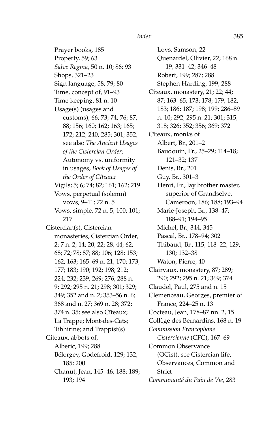Prayer books, 185 Property, 59; 63 *Salve Regina*, 50 n. 10; 86; 93 Shops, 321–23 Sign language, 58; 79; 80 Time, concept of, 91–93 Time keeping, 81 n. 10 Usage(s) (usages and customs), 66; 73; 74; 76; 87; 88; 156; 160; 162; 163; 165; 172; 212; 240; 285; 301; 352; see also *The Ancient Usages of the Cistercian Order;*  Autonomy vs. uniformity in usages; *Book of Usages of the Order of Cîteaux* Vigils; 5; 6; 74; 82; 161; 162; 219 Vows, perpetual (solemn) vows, 9–11; 72 n. 5 Vows, simple, 72 n. 5; 100; 101; 217 Cistercian(s), Cistercian monasteries, Cistercian Order, 2; 7 n. 2; 14; 20; 22; 28; 44; 62; 68; 72; 78; 87; 88; 106; 128; 153; 162; 163; 165–69 n. 21; 170; 173; 177; 183; 190; 192; 198; 212; 224; 232; 239; 269; 276; 288 n. 9; 292; 295 n. 21; 298; 301; 329; 349; 352 and n. 2; 353–56 n. 6; 368 and n. 27; 369 n. 28; 372; 374 n. 35; see also Cîteaux; La Trappe; Mont-des-Cats; Tibhirine; and Trappist(s) Cîteaux, abbots of, Alberic, 199; 288 Bélorgey, Godefroid, 129; 132; 185; 200 Chanut, Jean, 145–46; 188; 189; 193; 194

Loys, Samson; 22 Quenardel, Olivier, 22; 168 n. 19; 331–42; 346–48 Robert, 199; 287; 288 Stephen Harding, 199; 288 Cîteaux, monastery, 21; 22; 44; 87; 163–65; 173; 178; 179; 182; 183; 186; 187; 198; 199; 286–89 n. 10; 292; 295 n. 21; 301; 315; 318; 326; 352; 356; 369; 372 Cîteaux, monks of Albert, Br., 201–2 Baudouin, Fr., 25–29; 114–18; 121–32; 137 Denis, Br., 201 Guy, Br., 301–3 Henri, Fr., lay brother master, superior of Grandselve, Cameroon, 186; 188; 193–94 Marie-Joseph, Br., 138–47; 188–91; 194–95 Michel, Br., 344; 345 Pascal, Br., 178–94; 302 Thibaud, Br., 115; 118–22; 129; 130; 132–38 Waton, Pierre, 40 Clairvaux, monastery, 87; 289; 290; 292; 295 n. 21; 369; 374 Claudel, Paul, 275 and n. 15 Clemenceau, Georges, premier of France, 224–25 n. 13 Cocteau, Jean, 178–87 nn. 2, 15 Collège des Bernardins, 168 n. 19 *Commission Francophone Cistercienne* (CFC), 167–69 Common Observance (OCist), see Cistercian life, Observances, Common and Strict *Communauté du Pain de Vie*, 283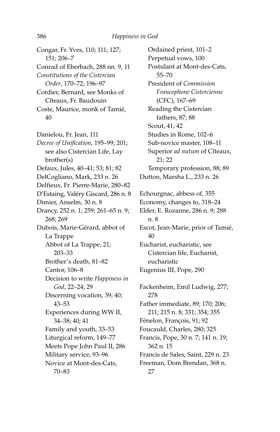Congar, Fr. Yves, 110; 111; 127; 151; 206–7 Conrad of Eberbach, 288 nn. 9, 11 *Constitutions of the Cistercian Order*, 170–72; 196–97 Cordier, Bernard, see Monks of Cîteaux, Fr. Baudouin Coste, Maurice, monk of Tamié, 40 Danielou, Fr. Jean, 111 *Decree of Unification*, 195–99; 201; see also Cistercian Life, Lay brother(s) Defaux, Jules, 40–41; 53; 81; 82 DelCogliano, Mark, 233 n. 26 Delfieux, Fr. Pierre-Marie, 280–82 D'Estaing, Valéry Giscard, 286 n. 8 Dimier, Anselm, 30 n. 8 Drancy, 252 n. 1; 259; 261–65 n. 9; 268; 269 Dubois, Marie-Gérard, abbot of La Trappe Abbot of La Trappe, 21; 203–33 Brother's death, 81–82 Cantor, 106–8 Decision to write *Happiness in God*, 22–24; 29 Discerning vocation, 39; 40; 43–53 Experiences during WW II, 34–38; 40; 41 Family and youth, 33–53 Liturgical reform, 149–77 Meets Pope John Paul II, 286 Military service, 93–96 Novice at Mont-des-Cats, 70–83

Ordained priest, 101–2 Perpetual vows, 100 Postulant at Mont-des-Cats, 55–70 President of *Commission Francophone Cistercienne*  (CFC), 167–69 Reading the Cistercian fathers, 87; 88 Scout, 41; 42 Studies in Rome, 102–6 Sub-novice master, 108–11 Superior *ad nutum* of Cîteaux, 21; 22 Temporary profession, 88; 89 Dutton, Marsha L., 233 n. 26 Echourgnac, abbess of, 355 Economy, changes to, 318–24 Elder, E. Rozanne, 286 n. 9; 288 n. 8 Escot, Jean-Marie, prior of Tamié, 40 Eucharist, eucharistic, see Cistercian life, Eucharist, eucharistic Eugenius III, Pope, 290 Fackenheim, Emil Ludwig, 277; 278 Father immediate, 89; 170; 206; 211; 215 n. 8; 331; 354; 355 Fénelon, François, 91; 92 Foucauld, Charles, 280; 325 Francis, Pope, 30 n. 7; 141 n. 19; 362 n. 15 Francis de Sales, Saint, 229 n. 23 Freeman, Dom Brendan, 368 n. 27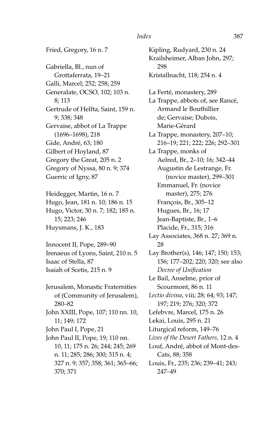Fried, Gregory, 16 n. 7 Gabriella, Bl., nun of Grottaferrata, 19–21 Galli, Marcel; 252; 258; 259 Generalate, OCSO, 102; 103 n. 8; 113 Gertrude of Helfta, Saint, 159 n. 9; 338; 348 Gervaise, abbot of La Trappe (1696–1698), 218 Gide, André, 63; 180 Gilbert of Hoyland, 87 Gregory the Great, 205 n. 2 Gregory of Nyssa, 80 n. 9; 374 Guerric of Igny, 87 Heidegger, Martin, 16 n. 7 Hugo, Jean, 181 n. 10; 186 n. 15 Hugo, Victor, 30 n. 7; 182; 185 n. 15; 223; 246 Huysmans, J. K., 183 Innocent II, Pope, 289–90 Irenaeus of Lyons, Saint, 210 n. 5 Isaac of Stella, 87

Isaiah of Scetis, 215 n. 9

Jerusalem, Monastic Fraternities of (Community of Jerusalem), 280–82 John XXIII, Pope, 107; 110 nn. 10, 11; 149; 172 John Paul I, Pope, 21 John Paul II, Pope, 19; 110 nn. 10, 11; 175 n. 26; 244; 245; 269 n. 11; 285; 286; 300; 315 n. 4; 327 n. 9; 357; 358; 361; 365–66; 370; 371

Kipling, Rudyard, 230 n. 24 Krailsheimer, Alban John, 297; 298 Kristallnacht, 118; 254 n. 4 La Ferté, monastery, 289 La Trappe, abbots of, see Rancé, Armand le Bouthillier de; Gervaise; Dubois, Marie-Gérard La Trappe, monastery, 207–10; 216–19; 221; 222; 226; 292–301 La Trappe, monks of Aelred, Br., 2–10; 16; 342–44 Augustin de Lestrange, Fr. (novice master), 299–301 Emmanuel, Fr. (novice master), 275; 276 François, Br., 305–12 Hugues, Br., 16; 17 Jean-Baptiste, Br., 1–6 Placide, Fr., 315; 316 Lay Associates, 368 n. 27; 369 n. 28 Lay Brother(s), 146; 147; 150; 153; 156; 177–202; 220; 320; see also *Decree of Unification* Le Bail, Anselme, prior of Scourmont, 86 n. 11 *Lectio divina*, viii; 28; 64; 93; 147; 197; 219; 276; 320; 372 Lefebvre, Marcel, 175 n. 26 Lekai, Louis, 295 n. 21 Liturgical reform, 149–76 *Lives of the Desert Fathers,* 12 n. 4 Louf, André, abbot of Mont-des-Cats, 88; 358 Louis, Fr., 235; 236; 239–41; 243; 247–49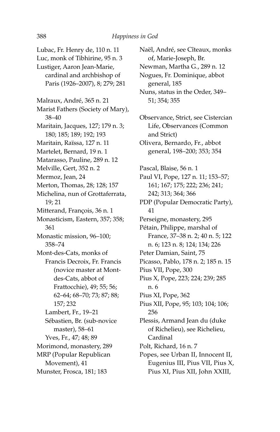Lubac, Fr. Henry de, 110 n. 11 Luc, monk of Tibhirine, 95 n. 3 Lustiger, Aaron Jean-Marie, cardinal and archbishop of Paris (1926–2007), 8; 279; 281 Malraux, André, 365 n. 21 Marist Fathers (Society of Mary), 38–40 Maritain, Jacques, 127; 179 n. 3; 180; 185; 189; 192; 193 Maritain, Raïssa, 127 n. 11 Martelet, Bernard, 19 n. 1 Matarasso, Pauline, 289 n. 12 Melville, Gert, 352 n. 2 Mermoz, Jean, 24 Merton, Thomas, 28; 128; 157 Michelina, nun of Grottaferrata, 19; 21 Mitterand, François, 36 n. 1 Monasticism, Eastern, 357; 358; 361 Monastic mission, 96–100; 358–74 Mont-des-Cats, monks of Francis Decroix, Fr. Francis (novice master at Montdes-Cats, abbot of Frattocchie), 49; 55; 56; 62–64; 68–70; 73; 87; 88; 157; 232 Lambert, Fr., 19–21 Sébastien, Br. (sub-novice master), 58–61 Yves, Fr., 47; 48; 89 Morimond, monastery, 289 MRP (Popular Republican Movement), 41 Munster, Frosca, 181; 183

Naël, André, see Cîteaux, monks of, Marie-Joseph, Br. Newman, Martha G., 289 n. 12 Nogues, Fr. Dominique, abbot general, 185 Nuns, status in the Order, 349– 51; 354; 355 Observance, Strict, see Cistercian

Life, Observances (Common and Strict) Olivera, Bernardo, Fr., abbot

general, 198–200; 353; 354

Pascal, Blaise, 56 n. 1 Paul VI, Pope, 127 n. 11; 153–57; 161; 167; 175; 222; 236; 241; 242; 313; 364; 366 PDP (Popular Democratic Party), 41 Perseigne, monastery, 295 Pétain, Philippe, marshal of France, 37–38 n. 2; 40 n. 5; 122 n. 6; 123 n. 8; 124; 134; 226 Peter Damian, Saint, 75 Picasso, Pablo, 178 n. 2; 185 n. 15 Pius VII, Pope, 300 Pius X, Pope, 223; 224; 239; 285 n. 6 Pius XI, Pope, 362 Pius XII, Pope, 95; 103; 104; 106; 256 Plessis, Armand Jean du (duke

of Richelieu), see Richelieu, Cardinal

- Polt, Richard, 16 n. 7
- Popes, see Urban II, Innocent II, Eugenius III, Pius VII, Pius X, Pius XI, Pius XII, John XXIII,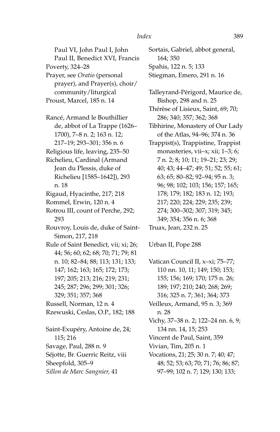Paul VI, John Paul I, John Paul II, Benedict XVI, Francis Poverty, 324–28 Prayer, see *Oratio* (personal

prayer), and Prayer(s), choir/ community/liturgical

Proust, Marcel, 185 n. 14

Rancé, Armand le Bouthillier de, abbot of La Trappe (1626– 1700), 7–8 n. 2; 163 n. 12; 217–19; 293–301; 356 n. 6

Religious life, leaving, 235–50

- Richelieu, Cardinal (Armand Jean du Plessis, duke of Richelieu [1585–1642]), 293 n. 18
- Rigaud, Hyacinthe, 217; 218
- Rommel, Erwin, 120 n. 4
- Rotrou III, count of Perche, 292; 293
- Rouvroy, Louis de, duke of Saint-Simon, 217, 218
- Rule of Saint Benedict, vii; xi; 26; 44; 56; 60; 62; 68; 70; 71; 79; 81 n. 10; 82–84; 88; 113; 131; 133; 147; 162; 163; 165; 172; 173; 197; 205; 213; 216; 219; 231; 245; 287; 296; 299; 301; 326; 329; 351; 357; 368
- Russell, Norman, 12 n. 4
- Rzewuski, Ceslas, O.P., 182; 188
- Saint-Exupéry, Antoine de, 24; 115; 216 Savage, Paul, 288 n. 9 Séjotte, Br. Guerric Reitz, viii Sheepfold, 305–9 *Sillon de Marc Sangnier,* 41

Sortais, Gabriel, abbot general, 164; 350 Spahis, 122 n. 5; 133

Stiegman, Emero, 291 n. 16

- Talleyrand-Périgord, Maurice de, Bishop, 298 and n. 25
- Thérèse of Lisieux, Saint, 69; 70; 286; 340; 357; 362; 368
- Tibhirine, Monastery of Our Lady of the Atlas, 94–96; 374 n. 36
- Trappist(s), Trappistine, Trappist monasteries, vii–x; xii; 1–3; 6; 7 n. 2; 8; 10; 11; 19–21; 23; 29; 40; 43; 44–47; 49; 51; 52; 55; 61; 63; 65; 80–82; 92–94; 95 n. 3; 96; 98; 102; 103; 156; 157; 165; 178; 179; 182; 183 n. 12; 193; 217; 220; 224; 229; 235; 239; 274; 300–302; 307; 319; 345; 349; 354; 356 n. 6; 368 Truax, Jean, 232 n. 25

Urban II, Pope 288

Vatican Council II, x–xi; 75–77; 110 nn. 10, 11; 149; 150; 153; 155; 156; 169; 170; 175 n. 26; 189; 197; 210; 240; 268; 269; 316; 325 n. 7; 361; 364; 373 Veilleux, Armand, 95 n. 3; 369 n. 28 Vichy, 37–38 n. 2; 122–24 nn. 6, 9; 134 nn. 14, 15; 253 Vincent de Paul, Saint, 359 Vivian, Tim, 205 n. 1 Vocations, 21; 25; 30 n. 7; 40; 47; 48; 52; 53; 63; 70; 71; 76; 86; 87; 97–99; 102 n. 7; 129; 130; 133;